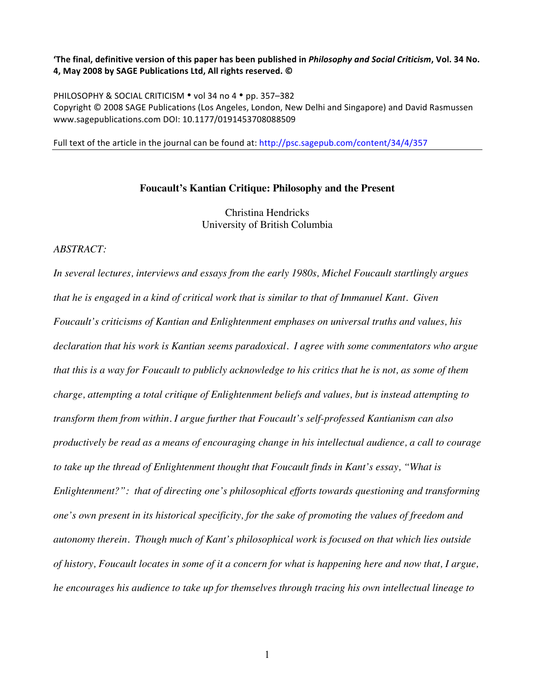# **The final, definitive version of this paper has been published in** *Philosophy and Social Criticism***, Vol. 34 No. 4, May 2008 by SAGE Publications Ltd, All rights reserved. ©**

PHILOSOPHY & SOCIAL CRITICISM . vol 34 no 4 . pp. 357-382 Copyright  $©$  2008 SAGE Publications (Los Angeles, London, New Delhi and Singapore) and David Rasmussen www.sagepublications.com DOI: 10.1177/0191453708088509 

Full text of the article in the journal can be found at: http://psc.sagepub.com/content/34/4/357

## **Foucault's Kantian Critique: Philosophy and the Present**

Christina Hendricks University of British Columbia

#### *ABSTRACT:*

*In several lectures, interviews and essays from the early 1980s, Michel Foucault startlingly argues that he is engaged in a kind of critical work that is similar to that of Immanuel Kant. Given Foucault's criticisms of Kantian and Enlightenment emphases on universal truths and values, his declaration that his work is Kantian seems paradoxical. I agree with some commentators who argue that this is a way for Foucault to publicly acknowledge to his critics that he is not, as some of them charge, attempting a total critique of Enlightenment beliefs and values, but is instead attempting to transform them from within. I argue further that Foucault's self-professed Kantianism can also productively be read as a means of encouraging change in his intellectual audience, a call to courage to take up the thread of Enlightenment thought that Foucault finds in Kant's essay, "What is Enlightenment?": that of directing one's philosophical efforts towards questioning and transforming one's own present in its historical specificity, for the sake of promoting the values of freedom and autonomy therein. Though much of Kant's philosophical work is focused on that which lies outside of history, Foucault locates in some of it a concern for what is happening here and now that, I argue, he encourages his audience to take up for themselves through tracing his own intellectual lineage to*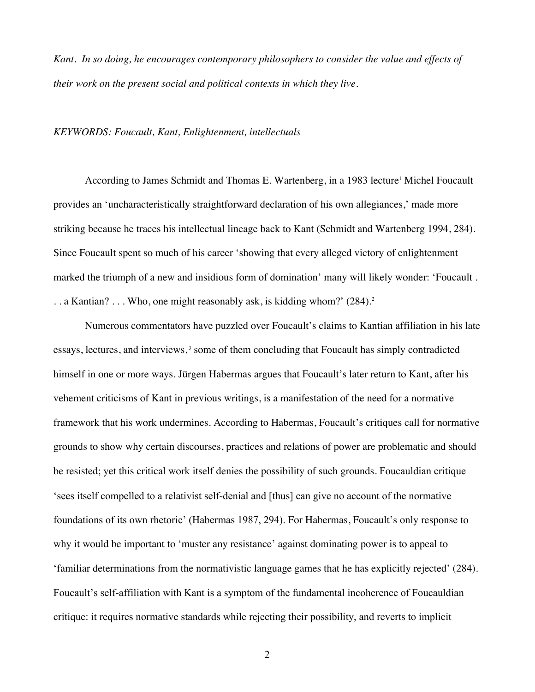*Kant. In so doing, he encourages contemporary philosophers to consider the value and effects of their work on the present social and political contexts in which they live.*

## *KEYWORDS: Foucault, Kant, Enlightenment, intellectuals*

According to James Schmidt and Thomas E. Wartenberg, in a 1983 lecture<sup>1</sup> Michel Foucault provides an 'uncharacteristically straightforward declaration of his own allegiances,' made more striking because he traces his intellectual lineage back to Kant (Schmidt and Wartenberg 1994, 284). Since Foucault spent so much of his career 'showing that every alleged victory of enlightenment marked the triumph of a new and insidious form of domination' many will likely wonder: 'Foucault .  $\ldots$  a Kantian?  $\ldots$  Who, one might reasonably ask, is kidding whom?' (284).<sup>2</sup>

Numerous commentators have puzzled over Foucault's claims to Kantian affiliation in his late essays, lectures, and interviews,<sup>3</sup> some of them concluding that Foucault has simply contradicted himself in one or more ways. Jürgen Habermas argues that Foucault's later return to Kant, after his vehement criticisms of Kant in previous writings, is a manifestation of the need for a normative framework that his work undermines. According to Habermas, Foucault's critiques call for normative grounds to show why certain discourses, practices and relations of power are problematic and should be resisted; yet this critical work itself denies the possibility of such grounds. Foucauldian critique 'sees itself compelled to a relativist self-denial and [thus] can give no account of the normative foundations of its own rhetoric' (Habermas 1987, 294). For Habermas, Foucault's only response to why it would be important to 'muster any resistance' against dominating power is to appeal to 'familiar determinations from the normativistic language games that he has explicitly rejected' (284). Foucault's self-affiliation with Kant is a symptom of the fundamental incoherence of Foucauldian critique: it requires normative standards while rejecting their possibility, and reverts to implicit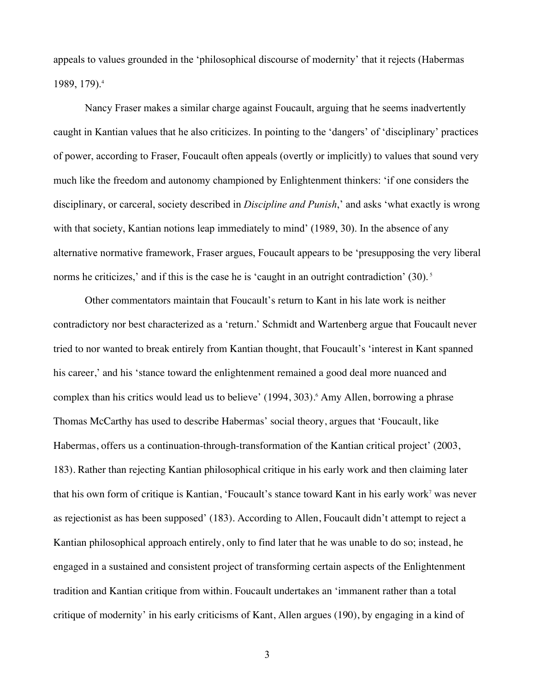appeals to values grounded in the 'philosophical discourse of modernity' that it rejects (Habermas 1989, 179).<sup>4</sup>

Nancy Fraser makes a similar charge against Foucault, arguing that he seems inadvertently caught in Kantian values that he also criticizes. In pointing to the 'dangers' of 'disciplinary' practices of power, according to Fraser, Foucault often appeals (overtly or implicitly) to values that sound very much like the freedom and autonomy championed by Enlightenment thinkers: 'if one considers the disciplinary, or carceral, society described in *Discipline and Punish*,' and asks 'what exactly is wrong with that society, Kantian notions leap immediately to mind' (1989, 30). In the absence of any alternative normative framework, Fraser argues, Foucault appears to be 'presupposing the very liberal norms he criticizes,' and if this is the case he is 'caught in an outright contradiction' (30).<sup>5</sup>

Other commentators maintain that Foucault's return to Kant in his late work is neither contradictory nor best characterized as a 'return.' Schmidt and Wartenberg argue that Foucault never tried to nor wanted to break entirely from Kantian thought, that Foucault's 'interest in Kant spanned his career,' and his 'stance toward the enlightenment remained a good deal more nuanced and complex than his critics would lead us to believe' (1994, 303). Amy Allen, borrowing a phrase Thomas McCarthy has used to describe Habermas' social theory, argues that 'Foucault, like Habermas, offers us a continuation-through-transformation of the Kantian critical project' (2003, 183). Rather than rejecting Kantian philosophical critique in his early work and then claiming later that his own form of critique is Kantian, 'Foucault's stance toward Kant in his early work<sup>7</sup> was never as rejectionist as has been supposed' (183). According to Allen, Foucault didn't attempt to reject a Kantian philosophical approach entirely, only to find later that he was unable to do so; instead, he engaged in a sustained and consistent project of transforming certain aspects of the Enlightenment tradition and Kantian critique from within. Foucault undertakes an 'immanent rather than a total critique of modernity' in his early criticisms of Kant, Allen argues (190), by engaging in a kind of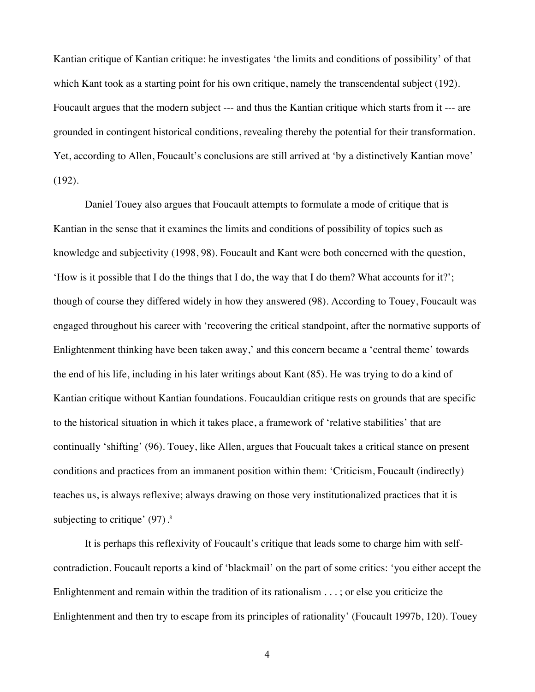Kantian critique of Kantian critique: he investigates 'the limits and conditions of possibility' of that which Kant took as a starting point for his own critique, namely the transcendental subject (192). Foucault argues that the modern subject --- and thus the Kantian critique which starts from it --- are grounded in contingent historical conditions, revealing thereby the potential for their transformation. Yet, according to Allen, Foucault's conclusions are still arrived at 'by a distinctively Kantian move' (192).

Daniel Touey also argues that Foucault attempts to formulate a mode of critique that is Kantian in the sense that it examines the limits and conditions of possibility of topics such as knowledge and subjectivity (1998, 98). Foucault and Kant were both concerned with the question, 'How is it possible that I do the things that I do, the way that I do them? What accounts for it?'; though of course they differed widely in how they answered (98). According to Touey, Foucault was engaged throughout his career with 'recovering the critical standpoint, after the normative supports of Enlightenment thinking have been taken away,' and this concern became a 'central theme' towards the end of his life, including in his later writings about Kant (85). He was trying to do a kind of Kantian critique without Kantian foundations. Foucauldian critique rests on grounds that are specific to the historical situation in which it takes place, a framework of 'relative stabilities' that are continually 'shifting' (96). Touey, like Allen, argues that Foucualt takes a critical stance on present conditions and practices from an immanent position within them: 'Criticism, Foucault (indirectly) teaches us, is always reflexive; always drawing on those very institutionalized practices that it is subjecting to critique' (97).<sup>8</sup>

It is perhaps this reflexivity of Foucault's critique that leads some to charge him with selfcontradiction. Foucault reports a kind of 'blackmail' on the part of some critics: 'you either accept the Enlightenment and remain within the tradition of its rationalism . . . ; or else you criticize the Enlightenment and then try to escape from its principles of rationality' (Foucault 1997b, 120). Touey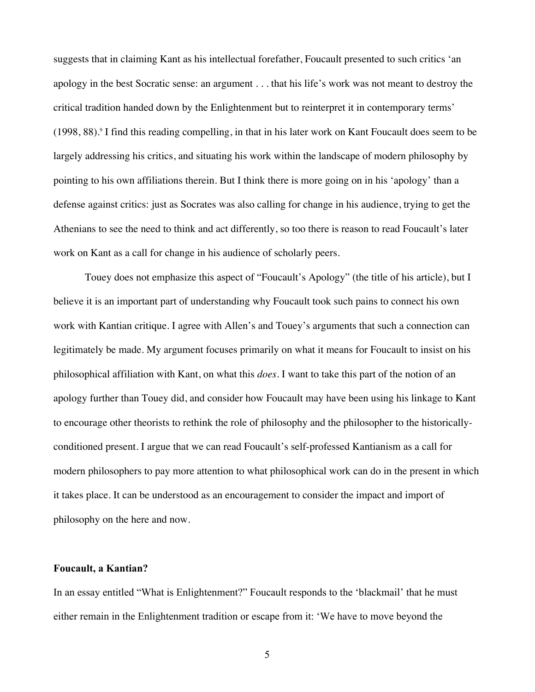suggests that in claiming Kant as his intellectual forefather, Foucault presented to such critics 'an apology in the best Socratic sense: an argument . . . that his life's work was not meant to destroy the critical tradition handed down by the Enlightenment but to reinterpret it in contemporary terms' (1998, 88).<sup>9</sup> I find this reading compelling, in that in his later work on Kant Foucault does seem to be largely addressing his critics, and situating his work within the landscape of modern philosophy by pointing to his own affiliations therein. But I think there is more going on in his 'apology' than a defense against critics: just as Socrates was also calling for change in his audience, trying to get the Athenians to see the need to think and act differently, so too there is reason to read Foucault's later work on Kant as a call for change in his audience of scholarly peers.

Touey does not emphasize this aspect of "Foucault's Apology" (the title of his article), but I believe it is an important part of understanding why Foucault took such pains to connect his own work with Kantian critique. I agree with Allen's and Touey's arguments that such a connection can legitimately be made. My argument focuses primarily on what it means for Foucault to insist on his philosophical affiliation with Kant, on what this *does*. I want to take this part of the notion of an apology further than Touey did, and consider how Foucault may have been using his linkage to Kant to encourage other theorists to rethink the role of philosophy and the philosopher to the historicallyconditioned present. I argue that we can read Foucault's self-professed Kantianism as a call for modern philosophers to pay more attention to what philosophical work can do in the present in which it takes place. It can be understood as an encouragement to consider the impact and import of philosophy on the here and now.

# **Foucault, a Kantian?**

In an essay entitled "What is Enlightenment?" Foucault responds to the 'blackmail' that he must either remain in the Enlightenment tradition or escape from it: 'We have to move beyond the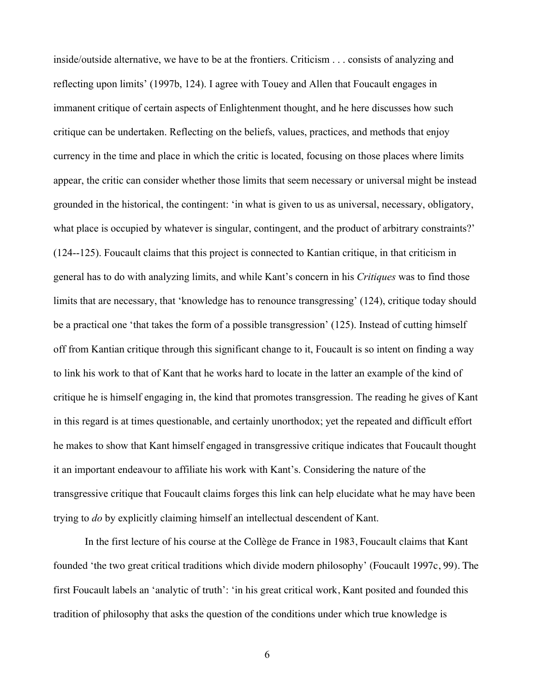inside/outside alternative, we have to be at the frontiers. Criticism . . . consists of analyzing and reflecting upon limits' (1997b, 124). I agree with Touey and Allen that Foucault engages in immanent critique of certain aspects of Enlightenment thought, and he here discusses how such critique can be undertaken. Reflecting on the beliefs, values, practices, and methods that enjoy currency in the time and place in which the critic is located, focusing on those places where limits appear, the critic can consider whether those limits that seem necessary or universal might be instead grounded in the historical, the contingent: 'in what is given to us as universal, necessary, obligatory, what place is occupied by whatever is singular, contingent, and the product of arbitrary constraints?' (124--125). Foucault claims that this project is connected to Kantian critique, in that criticism in general has to do with analyzing limits, and while Kant's concern in his *Critiques* was to find those limits that are necessary, that 'knowledge has to renounce transgressing' (124), critique today should be a practical one 'that takes the form of a possible transgression' (125). Instead of cutting himself off from Kantian critique through this significant change to it, Foucault is so intent on finding a way to link his work to that of Kant that he works hard to locate in the latter an example of the kind of critique he is himself engaging in, the kind that promotes transgression. The reading he gives of Kant in this regard is at times questionable, and certainly unorthodox; yet the repeated and difficult effort he makes to show that Kant himself engaged in transgressive critique indicates that Foucault thought it an important endeavour to affiliate his work with Kant's. Considering the nature of the transgressive critique that Foucault claims forges this link can help elucidate what he may have been trying to *do* by explicitly claiming himself an intellectual descendent of Kant.

In the first lecture of his course at the Collège de France in 1983, Foucault claims that Kant founded 'the two great critical traditions which divide modern philosophy' (Foucault 1997c, 99). The first Foucault labels an 'analytic of truth': 'in his great critical work, Kant posited and founded this tradition of philosophy that asks the question of the conditions under which true knowledge is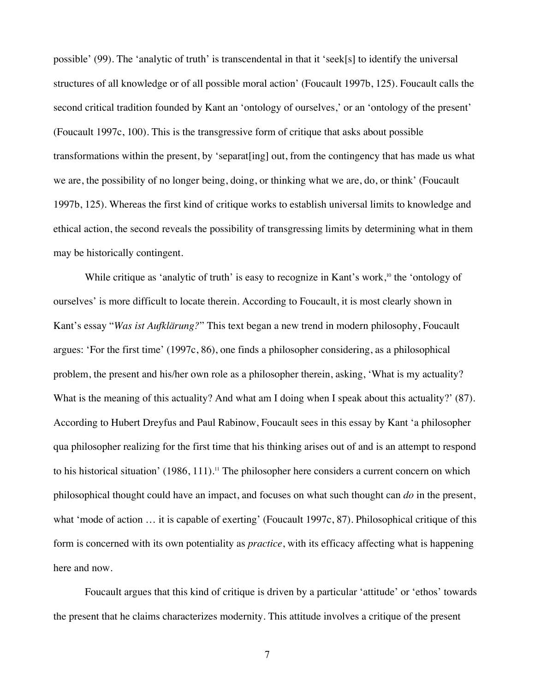possible' (99). The 'analytic of truth' is transcendental in that it 'seek[s] to identify the universal structures of all knowledge or of all possible moral action' (Foucault 1997b, 125). Foucault calls the second critical tradition founded by Kant an 'ontology of ourselves,' or an 'ontology of the present' (Foucault 1997c, 100). This is the transgressive form of critique that asks about possible transformations within the present, by 'separat[ing] out, from the contingency that has made us what we are, the possibility of no longer being, doing, or thinking what we are, do, or think' (Foucault 1997b, 125). Whereas the first kind of critique works to establish universal limits to knowledge and ethical action, the second reveals the possibility of transgressing limits by determining what in them may be historically contingent.

While critique as 'analytic of truth' is easy to recognize in Kant's work, $10$  the 'ontology of ourselves' is more difficult to locate therein. According to Foucault, it is most clearly shown in Kant's essay "*Was ist Aufklärung?*" This text began a new trend in modern philosophy, Foucault argues: 'For the first time' (1997c, 86), one finds a philosopher considering, as a philosophical problem, the present and his/her own role as a philosopher therein, asking, 'What is my actuality? What is the meaning of this actuality? And what am I doing when I speak about this actuality?' (87). According to Hubert Dreyfus and Paul Rabinow, Foucault sees in this essay by Kant 'a philosopher qua philosopher realizing for the first time that his thinking arises out of and is an attempt to respond to his historical situation' (1986, 111).<sup>11</sup> The philosopher here considers a current concern on which philosophical thought could have an impact, and focuses on what such thought can *do* in the present, what 'mode of action ... it is capable of exerting' (Foucault 1997c, 87). Philosophical critique of this form is concerned with its own potentiality as *practice*, with its efficacy affecting what is happening here and now.

Foucault argues that this kind of critique is driven by a particular 'attitude' or 'ethos' towards the present that he claims characterizes modernity. This attitude involves a critique of the present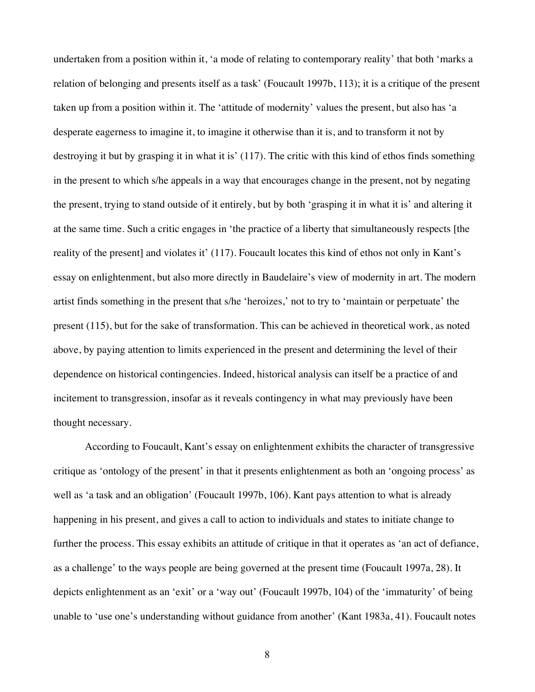undertaken from a position within it, 'a mode of relating to contemporary reality' that both 'marks a relation of belonging and presents itself as a task' (Foucault 1997b, 113); it is a critique of the present taken up from a position within it. The 'attitude of modernity' values the present, but also has 'a desperate eagerness to imagine it, to imagine it otherwise than it is, and to transform it not by destroying it but by grasping it in what it is' (117). The critic with this kind of ethos finds something in the present to which s/he appeals in a way that encourages change in the present, not by negating the present, trying to stand outside of it entirely, but by both 'grasping it in what it is' and altering it at the same time. Such a critic engages in 'the practice of a liberty that simultaneously respects [the reality of the present] and violates it' (117). Foucault locates this kind of ethos not only in Kant's essay on enlightenment, but also more directly in Baudelaire's view of modernity in art. The modern artist finds something in the present that s/he 'heroizes,' not to try to 'maintain or perpetuate' the present (115), but for the sake of transformation. This can be achieved in theoretical work, as noted above, by paying attention to limits experienced in the present and determining the level of their dependence on historical contingencies. Indeed, historical analysis can itself be a practice of and incitement to transgression, insofar as it reveals contingency in what may previously have been thought necessary.

According to Foucault, Kant's essay on enlightenment exhibits the character of transgressive critique as 'ontology of the present' in that it presents enlightenment as both an 'ongoing process' as well as 'a task and an obligation' (Foucault 1997b, 106). Kant pays attention to what is already happening in his present, and gives a call to action to individuals and states to initiate change to further the process. This essay exhibits an attitude of critique in that it operates as 'an act of defiance, as a challenge' to the ways people are being governed at the present time (Foucault 1997a, 28). It depicts enlightenment as an 'exit' or a 'way out' (Foucault 1997b, 104) of the 'immaturity' of being unable to 'use one's understanding without guidance from another' (Kant 1983a, 41). Foucault notes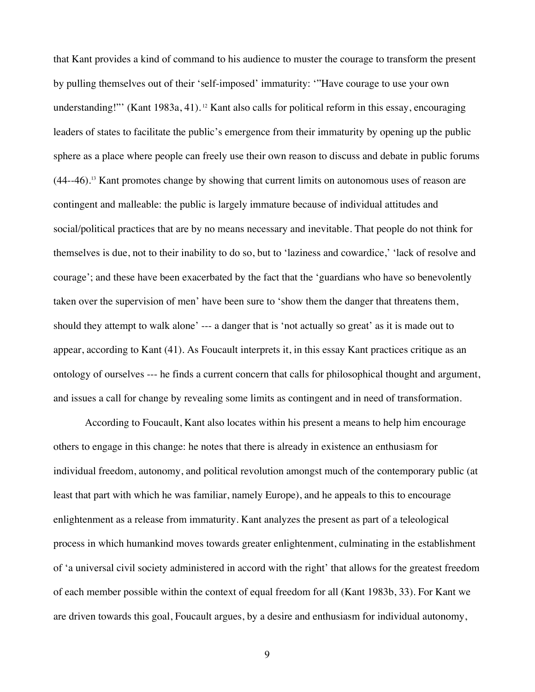that Kant provides a kind of command to his audience to muster the courage to transform the present by pulling themselves out of their 'self-imposed' immaturity: '"Have courage to use your own understanding!"" (Kant 1983a, 41).<sup>12</sup> Kant also calls for political reform in this essay, encouraging leaders of states to facilitate the public's emergence from their immaturity by opening up the public sphere as a place where people can freely use their own reason to discuss and debate in public forums (44--46).13 Kant promotes change by showing that current limits on autonomous uses of reason are contingent and malleable: the public is largely immature because of individual attitudes and social/political practices that are by no means necessary and inevitable. That people do not think for themselves is due, not to their inability to do so, but to 'laziness and cowardice,' 'lack of resolve and courage'; and these have been exacerbated by the fact that the 'guardians who have so benevolently taken over the supervision of men' have been sure to 'show them the danger that threatens them, should they attempt to walk alone' --- a danger that is 'not actually so great' as it is made out to appear, according to Kant (41). As Foucault interprets it, in this essay Kant practices critique as an ontology of ourselves --- he finds a current concern that calls for philosophical thought and argument, and issues a call for change by revealing some limits as contingent and in need of transformation.

According to Foucault, Kant also locates within his present a means to help him encourage others to engage in this change: he notes that there is already in existence an enthusiasm for individual freedom, autonomy, and political revolution amongst much of the contemporary public (at least that part with which he was familiar, namely Europe), and he appeals to this to encourage enlightenment as a release from immaturity. Kant analyzes the present as part of a teleological process in which humankind moves towards greater enlightenment, culminating in the establishment of 'a universal civil society administered in accord with the right' that allows for the greatest freedom of each member possible within the context of equal freedom for all (Kant 1983b, 33). For Kant we are driven towards this goal, Foucault argues, by a desire and enthusiasm for individual autonomy,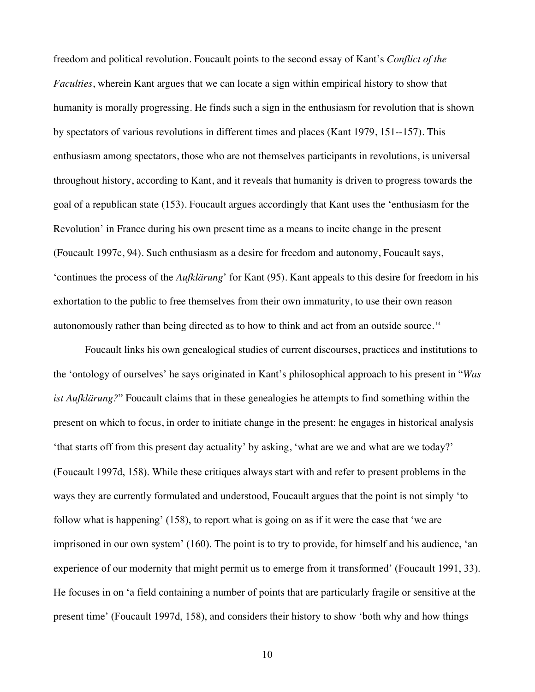freedom and political revolution. Foucault points to the second essay of Kant's *Conflict of the Faculties*, wherein Kant argues that we can locate a sign within empirical history to show that humanity is morally progressing. He finds such a sign in the enthusiasm for revolution that is shown by spectators of various revolutions in different times and places (Kant 1979, 151--157). This enthusiasm among spectators, those who are not themselves participants in revolutions, is universal throughout history, according to Kant, and it reveals that humanity is driven to progress towards the goal of a republican state (153). Foucault argues accordingly that Kant uses the 'enthusiasm for the Revolution' in France during his own present time as a means to incite change in the present (Foucault 1997c, 94). Such enthusiasm as a desire for freedom and autonomy, Foucault says, 'continues the process of the *Aufklärung*' for Kant (95). Kant appeals to this desire for freedom in his exhortation to the public to free themselves from their own immaturity, to use their own reason autonomously rather than being directed as to how to think and act from an outside source. <sup>14</sup>

Foucault links his own genealogical studies of current discourses, practices and institutions to the 'ontology of ourselves' he says originated in Kant's philosophical approach to his present in "*Was ist Aufklärung?*" Foucault claims that in these genealogies he attempts to find something within the present on which to focus, in order to initiate change in the present: he engages in historical analysis 'that starts off from this present day actuality' by asking, 'what are we and what are we today?' (Foucault 1997d, 158). While these critiques always start with and refer to present problems in the ways they are currently formulated and understood, Foucault argues that the point is not simply 'to follow what is happening' (158), to report what is going on as if it were the case that 'we are imprisoned in our own system' (160). The point is to try to provide, for himself and his audience, 'an experience of our modernity that might permit us to emerge from it transformed' (Foucault 1991, 33). He focuses in on 'a field containing a number of points that are particularly fragile or sensitive at the present time' (Foucault 1997d, 158), and considers their history to show 'both why and how things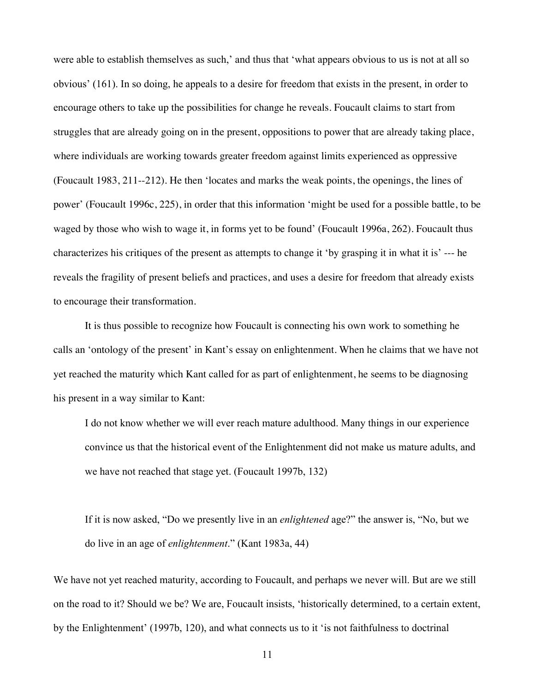were able to establish themselves as such,' and thus that 'what appears obvious to us is not at all so obvious' (161). In so doing, he appeals to a desire for freedom that exists in the present, in order to encourage others to take up the possibilities for change he reveals. Foucault claims to start from struggles that are already going on in the present, oppositions to power that are already taking place, where individuals are working towards greater freedom against limits experienced as oppressive (Foucault 1983, 211--212). He then 'locates and marks the weak points, the openings, the lines of power' (Foucault 1996c, 225), in order that this information 'might be used for a possible battle, to be waged by those who wish to wage it, in forms yet to be found' (Foucault 1996a, 262). Foucault thus characterizes his critiques of the present as attempts to change it 'by grasping it in what it is' --- he reveals the fragility of present beliefs and practices, and uses a desire for freedom that already exists to encourage their transformation.

It is thus possible to recognize how Foucault is connecting his own work to something he calls an 'ontology of the present' in Kant's essay on enlightenment. When he claims that we have not yet reached the maturity which Kant called for as part of enlightenment, he seems to be diagnosing his present in a way similar to Kant:

I do not know whether we will ever reach mature adulthood. Many things in our experience convince us that the historical event of the Enlightenment did not make us mature adults, and we have not reached that stage yet. (Foucault 1997b, 132)

If it is now asked, "Do we presently live in an *enlightened* age?" the answer is, "No, but we do live in an age of *enlightenment*." (Kant 1983a, 44)

We have not yet reached maturity, according to Foucault, and perhaps we never will. But are we still on the road to it? Should we be? We are, Foucault insists, 'historically determined, to a certain extent, by the Enlightenment' (1997b, 120), and what connects us to it 'is not faithfulness to doctrinal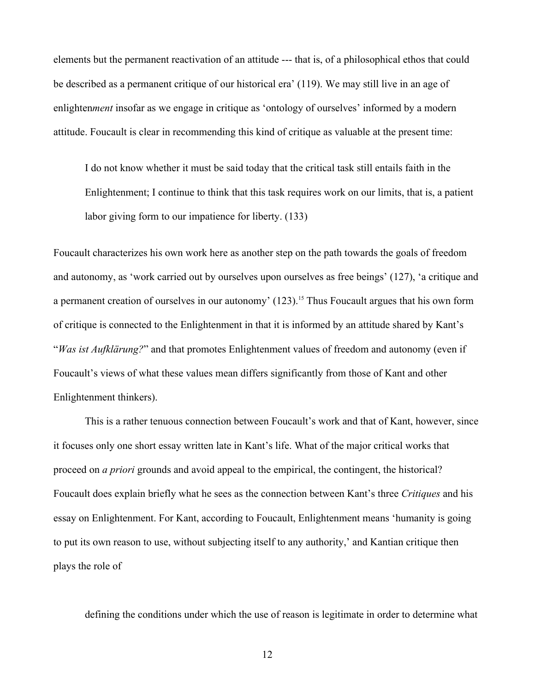elements but the permanent reactivation of an attitude --- that is, of a philosophical ethos that could be described as a permanent critique of our historical era' (119). We may still live in an age of enlighten*ment* insofar as we engage in critique as 'ontology of ourselves' informed by a modern attitude. Foucault is clear in recommending this kind of critique as valuable at the present time:

I do not know whether it must be said today that the critical task still entails faith in the Enlightenment; I continue to think that this task requires work on our limits, that is, a patient labor giving form to our impatience for liberty. (133)

Foucault characterizes his own work here as another step on the path towards the goals of freedom and autonomy, as 'work carried out by ourselves upon ourselves as free beings' (127), 'a critique and a permanent creation of ourselves in our autonomy' (123).<sup>15</sup> Thus Foucault argues that his own form of critique is connected to the Enlightenment in that it is informed by an attitude shared by Kant's "*Was ist Aufklärung?*" and that promotes Enlightenment values of freedom and autonomy (even if Foucault's views of what these values mean differs significantly from those of Kant and other Enlightenment thinkers).

This is a rather tenuous connection between Foucault's work and that of Kant, however, since it focuses only one short essay written late in Kant's life. What of the major critical works that proceed on *a priori* grounds and avoid appeal to the empirical, the contingent, the historical? Foucault does explain briefly what he sees as the connection between Kant's three *Critiques* and his essay on Enlightenment. For Kant, according to Foucault, Enlightenment means 'humanity is going to put its own reason to use, without subjecting itself to any authority,' and Kantian critique then plays the role of

defining the conditions under which the use of reason is legitimate in order to determine what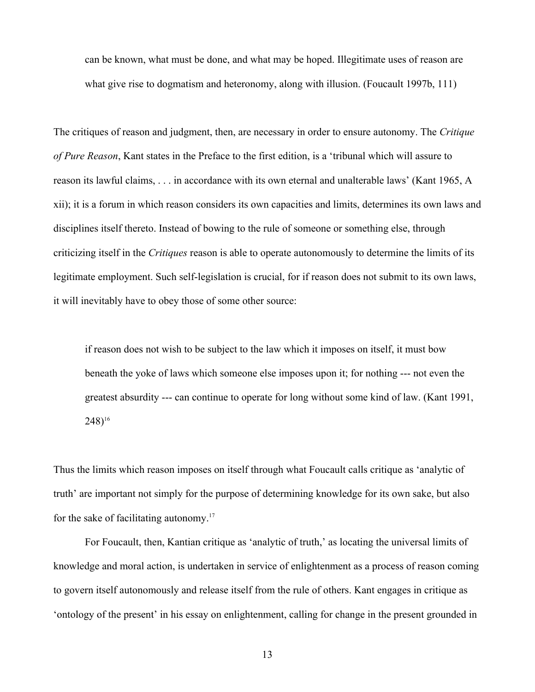can be known, what must be done, and what may be hoped. Illegitimate uses of reason are what give rise to dogmatism and heteronomy, along with illusion. (Foucault 1997b, 111)

The critiques of reason and judgment, then, are necessary in order to ensure autonomy. The *Critique of Pure Reason*, Kant states in the Preface to the first edition, is a 'tribunal which will assure to reason its lawful claims, . . . in accordance with its own eternal and unalterable laws' (Kant 1965, A xii); it is a forum in which reason considers its own capacities and limits, determines its own laws and disciplines itself thereto. Instead of bowing to the rule of someone or something else, through criticizing itself in the *Critiques* reason is able to operate autonomously to determine the limits of its legitimate employment. Such self-legislation is crucial, for if reason does not submit to its own laws, it will inevitably have to obey those of some other source:

if reason does not wish to be subject to the law which it imposes on itself, it must bow beneath the yoke of laws which someone else imposes upon it; for nothing --- not even the greatest absurdity --- can continue to operate for long without some kind of law. (Kant 1991,  $248$ <sup>16</sup>

Thus the limits which reason imposes on itself through what Foucault calls critique as 'analytic of truth' are important not simply for the purpose of determining knowledge for its own sake, but also for the sake of facilitating autonomy.17

For Foucault, then, Kantian critique as 'analytic of truth,' as locating the universal limits of knowledge and moral action, is undertaken in service of enlightenment as a process of reason coming to govern itself autonomously and release itself from the rule of others. Kant engages in critique as 'ontology of the present' in his essay on enlightenment, calling for change in the present grounded in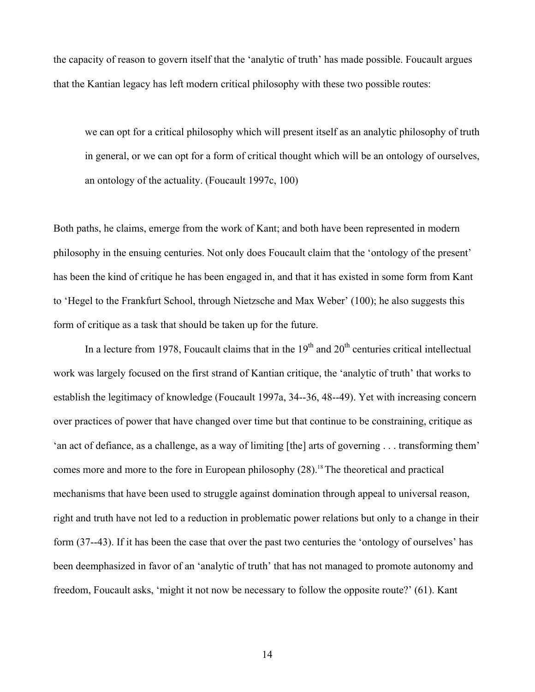the capacity of reason to govern itself that the 'analytic of truth' has made possible. Foucault argues that the Kantian legacy has left modern critical philosophy with these two possible routes:

we can opt for a critical philosophy which will present itself as an analytic philosophy of truth in general, or we can opt for a form of critical thought which will be an ontology of ourselves, an ontology of the actuality. (Foucault 1997c, 100)

Both paths, he claims, emerge from the work of Kant; and both have been represented in modern philosophy in the ensuing centuries. Not only does Foucault claim that the 'ontology of the present' has been the kind of critique he has been engaged in, and that it has existed in some form from Kant to 'Hegel to the Frankfurt School, through Nietzsche and Max Weber' (100); he also suggests this form of critique as a task that should be taken up for the future.

In a lecture from 1978, Foucault claims that in the  $19<sup>th</sup>$  and  $20<sup>th</sup>$  centuries critical intellectual work was largely focused on the first strand of Kantian critique, the 'analytic of truth' that works to establish the legitimacy of knowledge (Foucault 1997a, 34--36, 48--49). Yet with increasing concern over practices of power that have changed over time but that continue to be constraining, critique as 'an act of defiance, as a challenge, as a way of limiting [the] arts of governing . . . transforming them' comes more and more to the fore in European philosophy (28).18The theoretical and practical mechanisms that have been used to struggle against domination through appeal to universal reason, right and truth have not led to a reduction in problematic power relations but only to a change in their form (37--43). If it has been the case that over the past two centuries the 'ontology of ourselves' has been deemphasized in favor of an 'analytic of truth' that has not managed to promote autonomy and freedom, Foucault asks, 'might it not now be necessary to follow the opposite route?' (61). Kant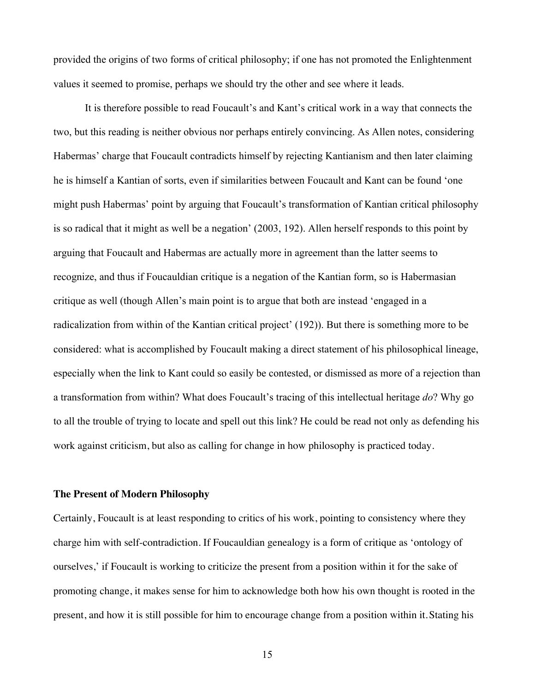provided the origins of two forms of critical philosophy; if one has not promoted the Enlightenment values it seemed to promise, perhaps we should try the other and see where it leads.

It is therefore possible to read Foucault's and Kant's critical work in a way that connects the two, but this reading is neither obvious nor perhaps entirely convincing. As Allen notes, considering Habermas' charge that Foucault contradicts himself by rejecting Kantianism and then later claiming he is himself a Kantian of sorts, even if similarities between Foucault and Kant can be found 'one might push Habermas' point by arguing that Foucault's transformation of Kantian critical philosophy is so radical that it might as well be a negation' (2003, 192). Allen herself responds to this point by arguing that Foucault and Habermas are actually more in agreement than the latter seems to recognize, and thus if Foucauldian critique is a negation of the Kantian form, so is Habermasian critique as well (though Allen's main point is to argue that both are instead 'engaged in a radicalization from within of the Kantian critical project' (192)). But there is something more to be considered: what is accomplished by Foucault making a direct statement of his philosophical lineage, especially when the link to Kant could so easily be contested, or dismissed as more of a rejection than a transformation from within? What does Foucault's tracing of this intellectual heritage *do*? Why go to all the trouble of trying to locate and spell out this link? He could be read not only as defending his work against criticism, but also as calling for change in how philosophy is practiced today.

## **The Present of Modern Philosophy**

Certainly, Foucault is at least responding to critics of his work, pointing to consistency where they charge him with self-contradiction. If Foucauldian genealogy is a form of critique as 'ontology of ourselves,' if Foucault is working to criticize the present from a position within it for the sake of promoting change, it makes sense for him to acknowledge both how his own thought is rooted in the present, and how it is still possible for him to encourage change from a position within it.Stating his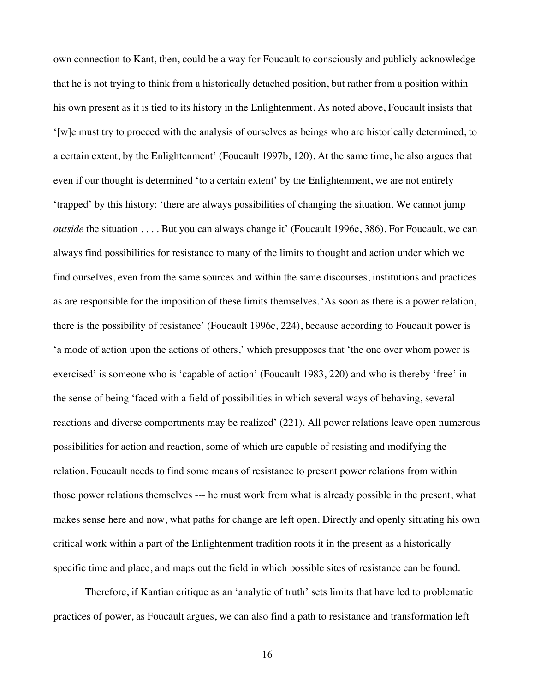own connection to Kant, then, could be a way for Foucault to consciously and publicly acknowledge that he is not trying to think from a historically detached position, but rather from a position within his own present as it is tied to its history in the Enlightenment. As noted above, Foucault insists that '[w]e must try to proceed with the analysis of ourselves as beings who are historically determined, to a certain extent, by the Enlightenment' (Foucault 1997b, 120). At the same time, he also argues that even if our thought is determined 'to a certain extent' by the Enlightenment, we are not entirely 'trapped' by this history: 'there are always possibilities of changing the situation. We cannot jump *outside* the situation . . . . But you can always change it' (Foucault 1996e, 386). For Foucault, we can always find possibilities for resistance to many of the limits to thought and action under which we find ourselves, even from the same sources and within the same discourses, institutions and practices as are responsible for the imposition of these limits themselves.'As soon as there is a power relation, there is the possibility of resistance' (Foucault 1996c, 224), because according to Foucault power is 'a mode of action upon the actions of others,' which presupposes that 'the one over whom power is exercised' is someone who is 'capable of action' (Foucault 1983, 220) and who is thereby 'free' in the sense of being 'faced with a field of possibilities in which several ways of behaving, several reactions and diverse comportments may be realized' (221). All power relations leave open numerous possibilities for action and reaction, some of which are capable of resisting and modifying the relation. Foucault needs to find some means of resistance to present power relations from within those power relations themselves --- he must work from what is already possible in the present, what makes sense here and now, what paths for change are left open. Directly and openly situating his own critical work within a part of the Enlightenment tradition roots it in the present as a historically specific time and place, and maps out the field in which possible sites of resistance can be found.

Therefore, if Kantian critique as an 'analytic of truth' sets limits that have led to problematic practices of power, as Foucault argues, we can also find a path to resistance and transformation left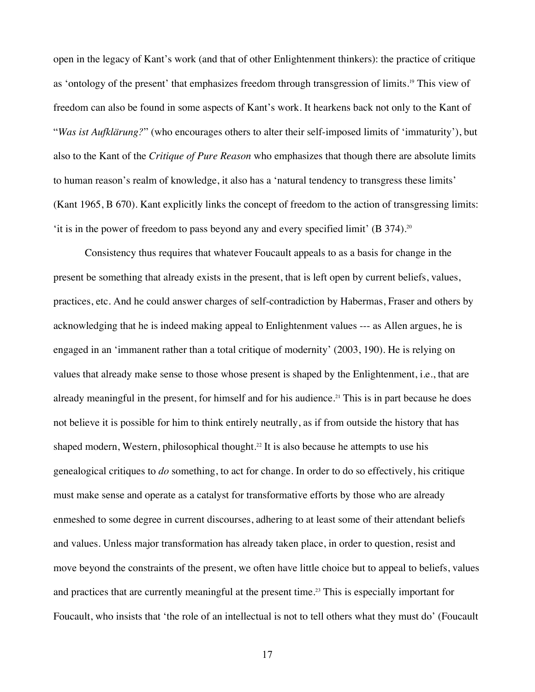open in the legacy of Kant's work (and that of other Enlightenment thinkers): the practice of critique as 'ontology of the present' that emphasizes freedom through transgression of limits.<sup>19</sup> This view of freedom can also be found in some aspects of Kant's work. It hearkens back not only to the Kant of "*Was ist Aufklärung?*" (who encourages others to alter their self-imposed limits of 'immaturity'), but also to the Kant of the *Critique of Pure Reason* who emphasizes that though there are absolute limits to human reason's realm of knowledge, it also has a 'natural tendency to transgress these limits' (Kant 1965, B 670). Kant explicitly links the concept of freedom to the action of transgressing limits: 'it is in the power of freedom to pass beyond any and every specified limit' (B 374).20

Consistency thus requires that whatever Foucault appeals to as a basis for change in the present be something that already exists in the present, that is left open by current beliefs, values, practices, etc. And he could answer charges of self-contradiction by Habermas, Fraser and others by acknowledging that he is indeed making appeal to Enlightenment values --- as Allen argues, he is engaged in an 'immanent rather than a total critique of modernity' (2003, 190). He is relying on values that already make sense to those whose present is shaped by the Enlightenment, i.e., that are already meaningful in the present, for himself and for his audience.<sup>21</sup> This is in part because he does not believe it is possible for him to think entirely neutrally, as if from outside the history that has shaped modern, Western, philosophical thought.<sup>22</sup> It is also because he attempts to use his genealogical critiques to *do* something, to act for change. In order to do so effectively, his critique must make sense and operate as a catalyst for transformative efforts by those who are already enmeshed to some degree in current discourses, adhering to at least some of their attendant beliefs and values. Unless major transformation has already taken place, in order to question, resist and move beyond the constraints of the present, we often have little choice but to appeal to beliefs, values and practices that are currently meaningful at the present time.<sup>23</sup> This is especially important for Foucault, who insists that 'the role of an intellectual is not to tell others what they must do' (Foucault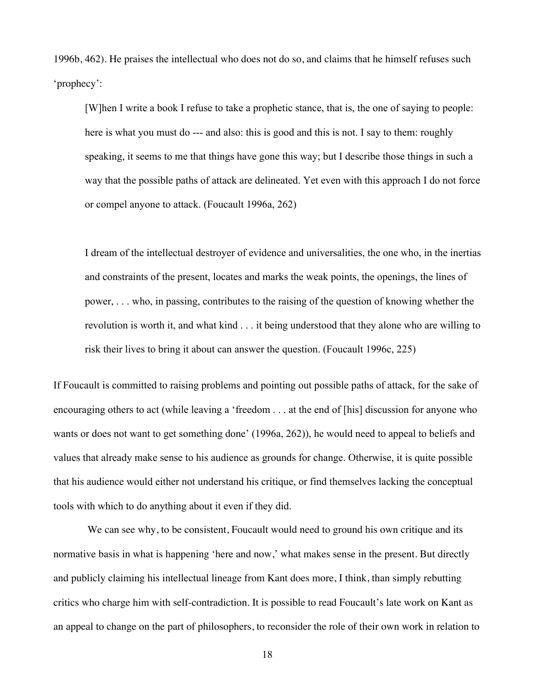1996b, 462). He praises the intellectual who does not do so, and claims that he himself refuses such 'prophecy':

[W]hen I write a book I refuse to take a prophetic stance, that is, the one of saying to people: here is what you must do --- and also: this is good and this is not. I say to them: roughly speaking, it seems to me that things have gone this way; but I describe those things in such a way that the possible paths of attack are delineated. Yet even with this approach I do not force or compel anyone to attack. (Foucault 1996a, 262)

I dream of the intellectual destroyer of evidence and universalities, the one who, in the inertias and constraints of the present, locates and marks the weak points, the openings, the lines of power, . . . who, in passing, contributes to the raising of the question of knowing whether the revolution is worth it, and what kind . . . it being understood that they alone who are willing to risk their lives to bring it about can answer the question. (Foucault 1996c, 225)

If Foucault is committed to raising problems and pointing out possible paths of attack, for the sake of encouraging others to act (while leaving a 'freedom . . . at the end of [his] discussion for anyone who wants or does not want to get something done' (1996a, 262)), he would need to appeal to beliefs and values that already make sense to his audience as grounds for change. Otherwise, it is quite possible that his audience would either not understand his critique, or find themselves lacking the conceptual tools with which to do anything about it even if they did.

We can see why, to be consistent, Foucault would need to ground his own critique and its normative basis in what is happening 'here and now,' what makes sense in the present. But directly and publicly claiming his intellectual lineage from Kant does more, I think, than simply rebutting critics who charge him with self-contradiction. It is possible to read Foucault's late work on Kant as an appeal to change on the part of philosophers, to reconsider the role of their own work in relation to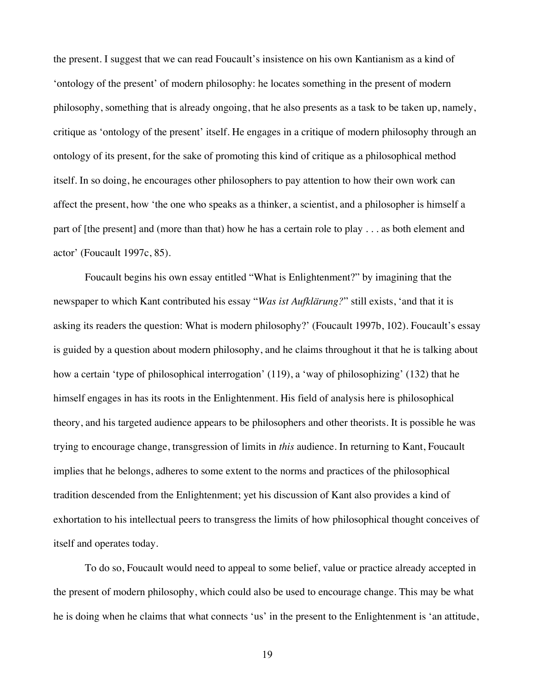the present. I suggest that we can read Foucault's insistence on his own Kantianism as a kind of 'ontology of the present' of modern philosophy: he locates something in the present of modern philosophy, something that is already ongoing, that he also presents as a task to be taken up, namely, critique as 'ontology of the present' itself. He engages in a critique of modern philosophy through an ontology of its present, for the sake of promoting this kind of critique as a philosophical method itself. In so doing, he encourages other philosophers to pay attention to how their own work can affect the present, how 'the one who speaks as a thinker, a scientist, and a philosopher is himself a part of [the present] and (more than that) how he has a certain role to play . . . as both element and actor' (Foucault 1997c, 85).

Foucault begins his own essay entitled "What is Enlightenment?" by imagining that the newspaper to which Kant contributed his essay "*Was ist Aufklärung?*" still exists, 'and that it is asking its readers the question: What is modern philosophy?' (Foucault 1997b, 102). Foucault's essay is guided by a question about modern philosophy, and he claims throughout it that he is talking about how a certain 'type of philosophical interrogation' (119), a 'way of philosophizing' (132) that he himself engages in has its roots in the Enlightenment. His field of analysis here is philosophical theory, and his targeted audience appears to be philosophers and other theorists. It is possible he was trying to encourage change, transgression of limits in *this* audience. In returning to Kant, Foucault implies that he belongs, adheres to some extent to the norms and practices of the philosophical tradition descended from the Enlightenment; yet his discussion of Kant also provides a kind of exhortation to his intellectual peers to transgress the limits of how philosophical thought conceives of itself and operates today.

To do so, Foucault would need to appeal to some belief, value or practice already accepted in the present of modern philosophy, which could also be used to encourage change. This may be what he is doing when he claims that what connects 'us' in the present to the Enlightenment is 'an attitude,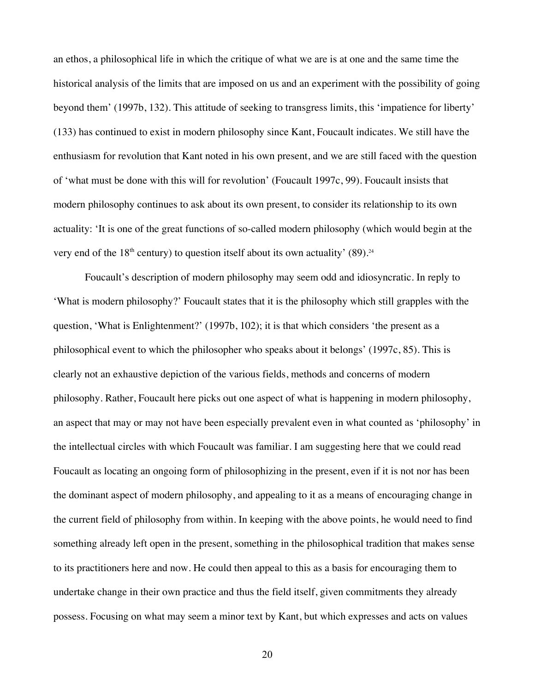an ethos, a philosophical life in which the critique of what we are is at one and the same time the historical analysis of the limits that are imposed on us and an experiment with the possibility of going beyond them' (1997b, 132). This attitude of seeking to transgress limits, this 'impatience for liberty' (133) has continued to exist in modern philosophy since Kant, Foucault indicates. We still have the enthusiasm for revolution that Kant noted in his own present, and we are still faced with the question of 'what must be done with this will for revolution' (Foucault 1997c, 99). Foucault insists that modern philosophy continues to ask about its own present, to consider its relationship to its own actuality: 'It is one of the great functions of so-called modern philosophy (which would begin at the very end of the  $18<sup>th</sup>$  century) to question itself about its own actuality' (89).<sup>24</sup>

Foucault's description of modern philosophy may seem odd and idiosyncratic. In reply to 'What is modern philosophy?' Foucault states that it is the philosophy which still grapples with the question, 'What is Enlightenment?' (1997b, 102); it is that which considers 'the present as a philosophical event to which the philosopher who speaks about it belongs' (1997c, 85). This is clearly not an exhaustive depiction of the various fields, methods and concerns of modern philosophy. Rather, Foucault here picks out one aspect of what is happening in modern philosophy, an aspect that may or may not have been especially prevalent even in what counted as 'philosophy' in the intellectual circles with which Foucault was familiar. I am suggesting here that we could read Foucault as locating an ongoing form of philosophizing in the present, even if it is not nor has been the dominant aspect of modern philosophy, and appealing to it as a means of encouraging change in the current field of philosophy from within. In keeping with the above points, he would need to find something already left open in the present, something in the philosophical tradition that makes sense to its practitioners here and now. He could then appeal to this as a basis for encouraging them to undertake change in their own practice and thus the field itself, given commitments they already possess. Focusing on what may seem a minor text by Kant, but which expresses and acts on values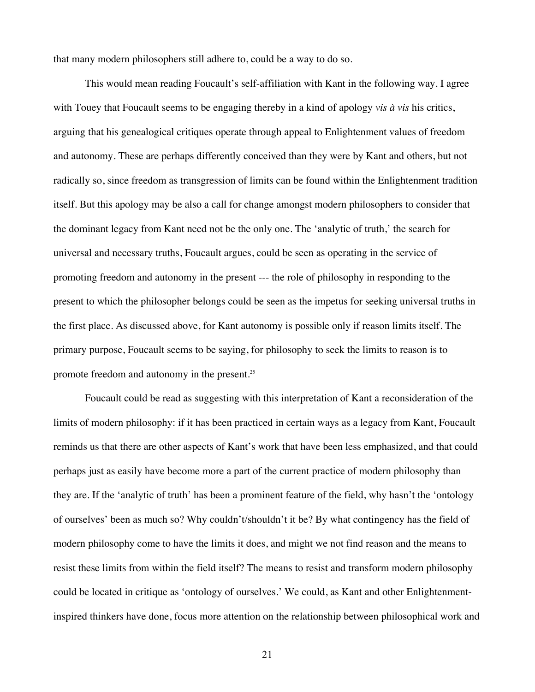that many modern philosophers still adhere to, could be a way to do so.

This would mean reading Foucault's self-affiliation with Kant in the following way. I agree with Touey that Foucault seems to be engaging thereby in a kind of apology *vis à vis* his critics, arguing that his genealogical critiques operate through appeal to Enlightenment values of freedom and autonomy. These are perhaps differently conceived than they were by Kant and others, but not radically so, since freedom as transgression of limits can be found within the Enlightenment tradition itself. But this apology may be also a call for change amongst modern philosophers to consider that the dominant legacy from Kant need not be the only one. The 'analytic of truth,' the search for universal and necessary truths, Foucault argues, could be seen as operating in the service of promoting freedom and autonomy in the present --- the role of philosophy in responding to the present to which the philosopher belongs could be seen as the impetus for seeking universal truths in the first place. As discussed above, for Kant autonomy is possible only if reason limits itself. The primary purpose, Foucault seems to be saying, for philosophy to seek the limits to reason is to promote freedom and autonomy in the present.25

Foucault could be read as suggesting with this interpretation of Kant a reconsideration of the limits of modern philosophy: if it has been practiced in certain ways as a legacy from Kant, Foucault reminds us that there are other aspects of Kant's work that have been less emphasized, and that could perhaps just as easily have become more a part of the current practice of modern philosophy than they are. If the 'analytic of truth' has been a prominent feature of the field, why hasn't the 'ontology of ourselves' been as much so? Why couldn't/shouldn't it be? By what contingency has the field of modern philosophy come to have the limits it does, and might we not find reason and the means to resist these limits from within the field itself? The means to resist and transform modern philosophy could be located in critique as 'ontology of ourselves.' We could, as Kant and other Enlightenmentinspired thinkers have done, focus more attention on the relationship between philosophical work and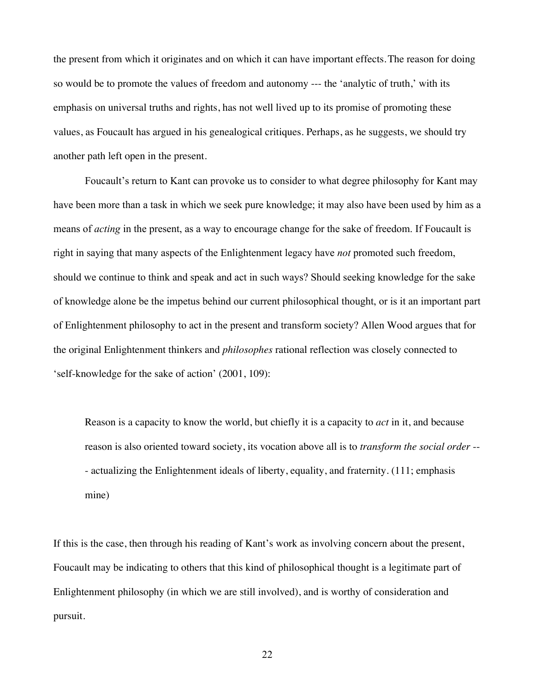the present from which it originates and on which it can have important effects.The reason for doing so would be to promote the values of freedom and autonomy --- the 'analytic of truth,' with its emphasis on universal truths and rights, has not well lived up to its promise of promoting these values, as Foucault has argued in his genealogical critiques. Perhaps, as he suggests, we should try another path left open in the present.

Foucault's return to Kant can provoke us to consider to what degree philosophy for Kant may have been more than a task in which we seek pure knowledge; it may also have been used by him as a means of *acting* in the present, as a way to encourage change for the sake of freedom. If Foucault is right in saying that many aspects of the Enlightenment legacy have *not* promoted such freedom, should we continue to think and speak and act in such ways? Should seeking knowledge for the sake of knowledge alone be the impetus behind our current philosophical thought, or is it an important part of Enlightenment philosophy to act in the present and transform society? Allen Wood argues that for the original Enlightenment thinkers and *philosophes* rational reflection was closely connected to 'self-knowledge for the sake of action' (2001, 109):

Reason is a capacity to know the world, but chiefly it is a capacity to *act* in it, and because reason is also oriented toward society, its vocation above all is to *transform the social order* -- - actualizing the Enlightenment ideals of liberty, equality, and fraternity. (111; emphasis mine)

If this is the case, then through his reading of Kant's work as involving concern about the present, Foucault may be indicating to others that this kind of philosophical thought is a legitimate part of Enlightenment philosophy (in which we are still involved), and is worthy of consideration and pursuit.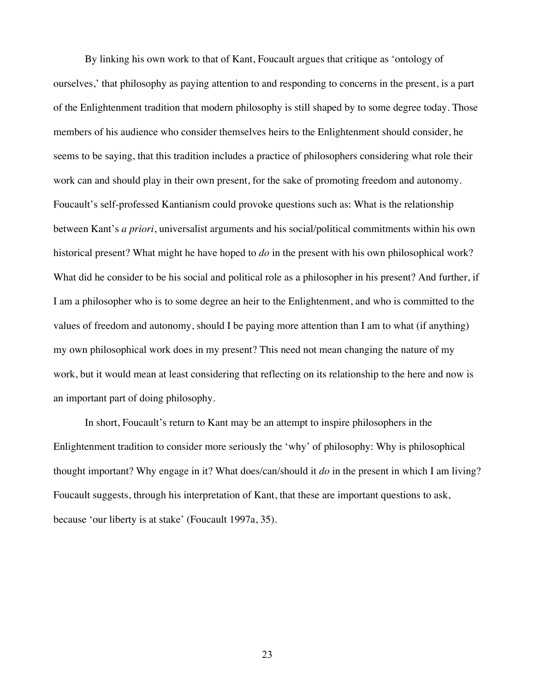By linking his own work to that of Kant, Foucault argues that critique as 'ontology of ourselves,' that philosophy as paying attention to and responding to concerns in the present, is a part of the Enlightenment tradition that modern philosophy is still shaped by to some degree today. Those members of his audience who consider themselves heirs to the Enlightenment should consider, he seems to be saying, that this tradition includes a practice of philosophers considering what role their work can and should play in their own present, for the sake of promoting freedom and autonomy. Foucault's self-professed Kantianism could provoke questions such as: What is the relationship between Kant's *a priori*, universalist arguments and his social/political commitments within his own historical present? What might he have hoped to *do* in the present with his own philosophical work? What did he consider to be his social and political role as a philosopher in his present? And further, if I am a philosopher who is to some degree an heir to the Enlightenment, and who is committed to the values of freedom and autonomy, should I be paying more attention than I am to what (if anything) my own philosophical work does in my present? This need not mean changing the nature of my work, but it would mean at least considering that reflecting on its relationship to the here and now is an important part of doing philosophy.

In short, Foucault's return to Kant may be an attempt to inspire philosophers in the Enlightenment tradition to consider more seriously the 'why' of philosophy: Why is philosophical thought important? Why engage in it? What does/can/should it *do* in the present in which I am living? Foucault suggests, through his interpretation of Kant, that these are important questions to ask, because 'our liberty is at stake' (Foucault 1997a, 35).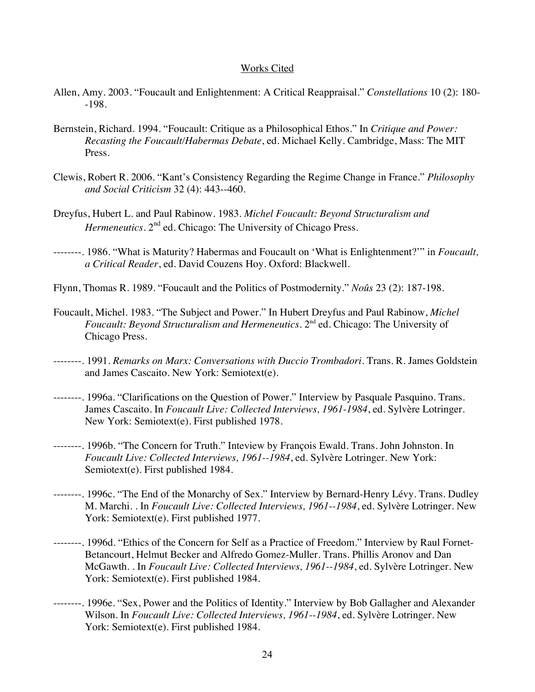# Works Cited

- Allen, Amy. 2003. "Foucault and Enlightenment: A Critical Reappraisal." *Constellations* 10 (2): 180- -198.
- Bernstein, Richard. 1994. "Foucault: Critique as a Philosophical Ethos." In *Critique and Power: Recasting the Foucault/Habermas Debate*, ed. Michael Kelly. Cambridge, Mass: The MIT Press.
- Clewis, Robert R. 2006. "Kant's Consistency Regarding the Regime Change in France." *Philosophy and Social Criticism* 32 (4): 443--460.
- Dreyfus, Hubert L. and Paul Rabinow. 1983. *Michel Foucault: Beyond Structuralism and Hermeneutics*.  $2^{nd}$  ed. Chicago: The University of Chicago Press.
- --------. 1986. "What is Maturity? Habermas and Foucault on 'What is Enlightenment?'" in *Foucault, a Critical Reader*, ed. David Couzens Hoy. Oxford: Blackwell.
- Flynn, Thomas R. 1989. "Foucault and the Politics of Postmodernity." *Noûs* 23 (2): 187-198.
- Foucault, Michel. 1983. "The Subject and Power." In Hubert Dreyfus and Paul Rabinow, *Michel Foucault: Beyond Structuralism and Hermeneutics.* 2<sup>nd</sup> ed. Chicago: The University of Chicago Press.
- --------. 1991. *Remarks on Marx: Conversations with Duccio Trombadori*. Trans. R. James Goldstein and James Cascaito. New York: Semiotext(e).
- --------. 1996a. "Clarifications on the Question of Power." Interview by Pasquale Pasquino. Trans. James Cascaito. In *Foucault Live: Collected Interviews, 1961-1984*, ed. Sylvère Lotringer. New York: Semiotext(e). First published 1978.
- --------. 1996b. "The Concern for Truth." Inteview by François Ewald. Trans. John Johnston. In *Foucault Live: Collected Interviews, 1961--1984*, ed. Sylvère Lotringer. New York: Semiotext(e). First published 1984.
- --------. 1996c. "The End of the Monarchy of Sex." Interview by Bernard-Henry Lévy. Trans. Dudley M. Marchi. . In *Foucault Live: Collected Interviews, 1961--1984*, ed. Sylvère Lotringer. New York: Semiotext(e). First published 1977.
- --------. 1996d. "Ethics of the Concern for Self as a Practice of Freedom." Interview by Raul Fornet-Betancourt, Helmut Becker and Alfredo Gomez-Muller. Trans. Phillis Aronov and Dan McGawth. . In *Foucault Live: Collected Interviews, 1961--1984*, ed. Sylvère Lotringer. New York: Semiotext(e). First published 1984.
- --------. 1996e. "Sex, Power and the Politics of Identity." Interview by Bob Gallagher and Alexander Wilson. In *Foucault Live: Collected Interviews, 1961--1984*, ed. Sylvère Lotringer. New York: Semiotext(e). First published 1984.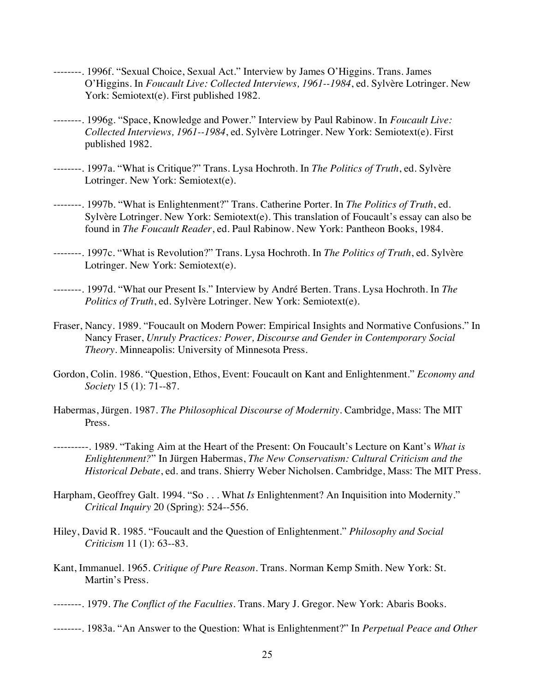- --------. 1996f. "Sexual Choice, Sexual Act." Interview by James O'Higgins. Trans. James O'Higgins. In *Foucault Live: Collected Interviews, 1961--1984*, ed. Sylvère Lotringer. New York: Semiotext(e). First published 1982.
- --------. 1996g. "Space, Knowledge and Power." Interview by Paul Rabinow. In *Foucault Live: Collected Interviews, 1961--1984*, ed. Sylvère Lotringer. New York: Semiotext(e). First published 1982.
- --------. 1997a. "What is Critique?" Trans. Lysa Hochroth. In *The Politics of Truth*, ed. Sylvère Lotringer. New York: Semiotext(e).
- --------. 1997b. "What is Enlightenment?" Trans. Catherine Porter. In *The Politics of Truth*, ed. Sylvère Lotringer. New York: Semiotext(e). This translation of Foucault's essay can also be found in *The Foucault Reader*, ed. Paul Rabinow. New York: Pantheon Books, 1984.
- --------. 1997c. "What is Revolution?" Trans. Lysa Hochroth. In *The Politics of Truth*, ed. Sylvère Lotringer. New York: Semiotext(e).
- --------. 1997d. "What our Present Is." Interview by André Berten. Trans. Lysa Hochroth. In *The Politics of Truth*, ed. Sylvère Lotringer. New York: Semiotext(e).
- Fraser, Nancy. 1989. "Foucault on Modern Power: Empirical Insights and Normative Confusions." In Nancy Fraser, *Unruly Practices: Power, Discourse and Gender in Contemporary Social Theory*. Minneapolis: University of Minnesota Press.
- Gordon, Colin. 1986. "Question, Ethos, Event: Foucault on Kant and Enlightenment." *Economy and Society* 15 (1): 71--87.
- Habermas, Jürgen. 1987. *The Philosophical Discourse of Modernity*. Cambridge, Mass: The MIT Press.
- ----------. 1989. "Taking Aim at the Heart of the Present: On Foucault's Lecture on Kant's *What is Enlightenment?*" In Jürgen Habermas, *The New Conservatism: Cultural Criticism and the Historical Debate*, ed. and trans. Shierry Weber Nicholsen. Cambridge, Mass: The MIT Press.
- Harpham, Geoffrey Galt. 1994. "So . . . What *Is* Enlightenment? An Inquisition into Modernity." *Critical Inquiry* 20 (Spring): 524--556.
- Hiley, David R. 1985. "Foucault and the Question of Enlightenment." *Philosophy and Social Criticism* 11 (1): 63--83.
- Kant, Immanuel. 1965. *Critique of Pure Reason*. Trans. Norman Kemp Smith. New York: St. Martin's Press.
- --------. 1979. *The Conflict of the Faculties*. Trans. Mary J. Gregor. New York: Abaris Books.
- --------. 1983a. "An Answer to the Question: What is Enlightenment?" In *Perpetual Peace and Other*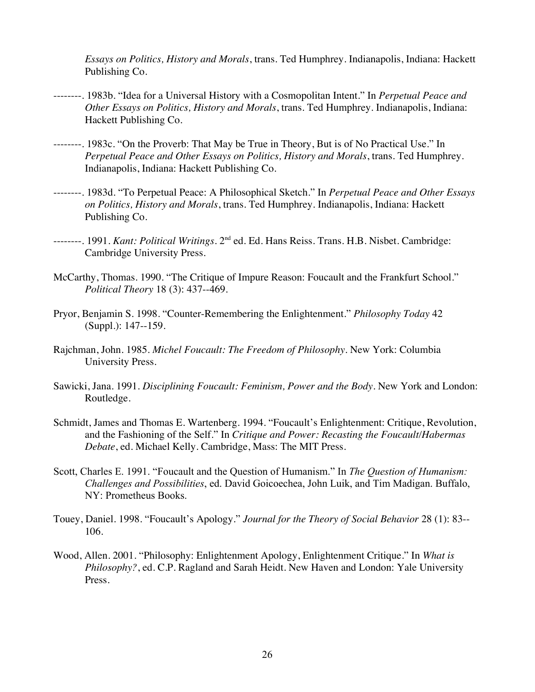*Essays on Politics, History and Morals*, trans. Ted Humphrey. Indianapolis, Indiana: Hackett Publishing Co.

- --------. 1983b. "Idea for a Universal History with a Cosmopolitan Intent." In *Perpetual Peace and Other Essays on Politics, History and Morals, trans. Ted Humphrey. Indianapolis, Indiana:* Hackett Publishing Co.
- --------. 1983c. "On the Proverb: That May be True in Theory, But is of No Practical Use." In *Perpetual Peace and Other Essays on Politics, History and Morals*, trans. Ted Humphrey. Indianapolis, Indiana: Hackett Publishing Co.
- --------. 1983d. "To Perpetual Peace: A Philosophical Sketch." In *Perpetual Peace and Other Essays on Politics, History and Morals*, trans. Ted Humphrey. Indianapolis, Indiana: Hackett Publishing Co.
- --------. 1991. *Kant: Political Writings*. 2nd ed. Ed. Hans Reiss. Trans. H.B. Nisbet. Cambridge: Cambridge University Press.
- McCarthy, Thomas. 1990. "The Critique of Impure Reason: Foucault and the Frankfurt School." *Political Theory* 18 (3): 437--469.
- Pryor, Benjamin S. 1998. "Counter-Remembering the Enlightenment." *Philosophy Today* 42 (Suppl.): 147--159.
- Rajchman, John. 1985. *Michel Foucault: The Freedom of Philosophy*. New York: Columbia University Press.
- Sawicki, Jana. 1991. *Disciplining Foucault: Feminism, Power and the Body*. New York and London: Routledge.
- Schmidt, James and Thomas E. Wartenberg. 1994. "Foucault's Enlightenment: Critique, Revolution, and the Fashioning of the Self." In *Critique and Power: Recasting the Foucault/Habermas Debate*, ed. Michael Kelly. Cambridge, Mass: The MIT Press.
- Scott, Charles E. 1991. "Foucault and the Question of Humanism." In *The Question of Humanism: Challenges and Possibilities*, ed. David Goicoechea, John Luik, and Tim Madigan. Buffalo, NY: Prometheus Books.
- Touey, Daniel. 1998. "Foucault's Apology." *Journal for the Theory of Social Behavior* 28 (1): 83-- 106.
- Wood, Allen. 2001. "Philosophy: Enlightenment Apology, Enlightenment Critique." In *What is Philosophy?*, ed. C.P. Ragland and Sarah Heidt. New Haven and London: Yale University Press.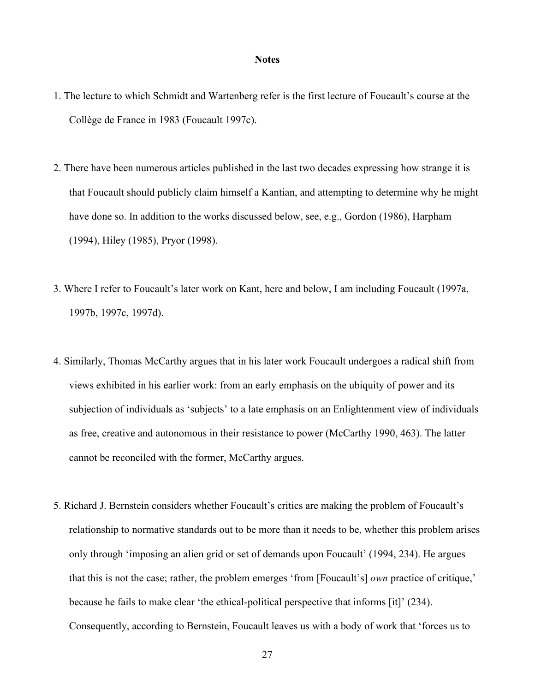### **Notes**

- 1. The lecture to which Schmidt and Wartenberg refer is the first lecture of Foucault's course at the Collège de France in 1983 (Foucault 1997c).
- 2. There have been numerous articles published in the last two decades expressing how strange it is that Foucault should publicly claim himself a Kantian, and attempting to determine why he might have done so. In addition to the works discussed below, see, e.g., Gordon (1986), Harpham (1994), Hiley (1985), Pryor (1998).
- 3. Where I refer to Foucault's later work on Kant, here and below, I am including Foucault (1997a, 1997b, 1997c, 1997d).
- 4. Similarly, Thomas McCarthy argues that in his later work Foucault undergoes a radical shift from views exhibited in his earlier work: from an early emphasis on the ubiquity of power and its subjection of individuals as 'subjects' to a late emphasis on an Enlightenment view of individuals as free, creative and autonomous in their resistance to power (McCarthy 1990, 463). The latter cannot be reconciled with the former, McCarthy argues.
- 5. Richard J. Bernstein considers whether Foucault's critics are making the problem of Foucault's relationship to normative standards out to be more than it needs to be, whether this problem arises only through 'imposing an alien grid or set of demands upon Foucault' (1994, 234). He argues that this is not the case; rather, the problem emerges 'from [Foucault's] *own* practice of critique,' because he fails to make clear 'the ethical-political perspective that informs [it]' (234). Consequently, according to Bernstein, Foucault leaves us with a body of work that 'forces us to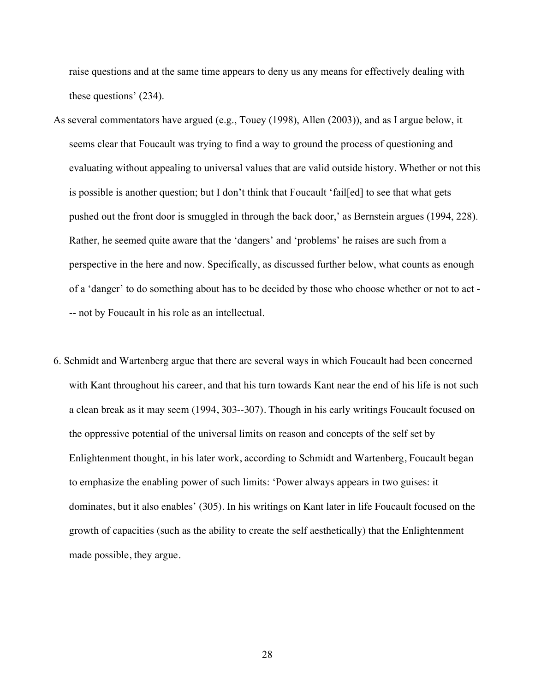raise questions and at the same time appears to deny us any means for effectively dealing with these questions' (234).

- As several commentators have argued (e.g., Touey (1998), Allen (2003)), and as I argue below, it seems clear that Foucault was trying to find a way to ground the process of questioning and evaluating without appealing to universal values that are valid outside history. Whether or not this is possible is another question; but I don't think that Foucault 'fail[ed] to see that what gets pushed out the front door is smuggled in through the back door,' as Bernstein argues (1994, 228). Rather, he seemed quite aware that the 'dangers' and 'problems' he raises are such from a perspective in the here and now. Specifically, as discussed further below, what counts as enough of a 'danger' to do something about has to be decided by those who choose whether or not to act - -- not by Foucault in his role as an intellectual.
- 6. Schmidt and Wartenberg argue that there are several ways in which Foucault had been concerned with Kant throughout his career, and that his turn towards Kant near the end of his life is not such a clean break as it may seem (1994, 303--307). Though in his early writings Foucault focused on the oppressive potential of the universal limits on reason and concepts of the self set by Enlightenment thought, in his later work, according to Schmidt and Wartenberg, Foucault began to emphasize the enabling power of such limits: 'Power always appears in two guises: it dominates, but it also enables' (305). In his writings on Kant later in life Foucault focused on the growth of capacities (such as the ability to create the self aesthetically) that the Enlightenment made possible, they argue.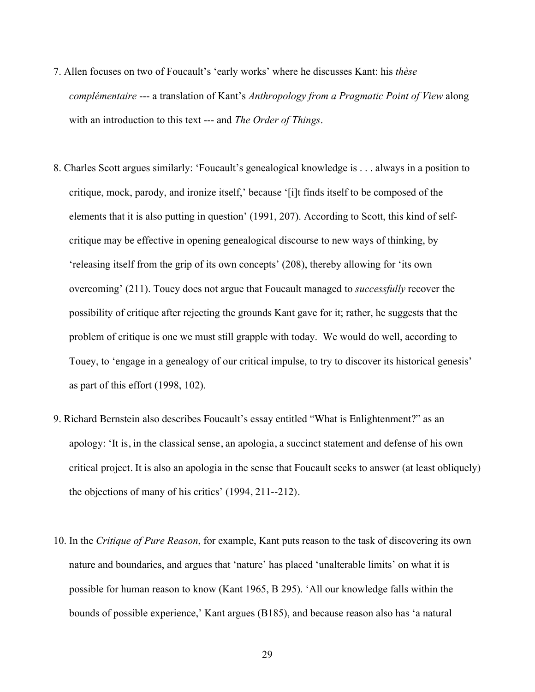- 7. Allen focuses on two of Foucault's 'early works' where he discusses Kant: his *thèse complémentaire* --- a translation of Kant's *Anthropology from a Pragmatic Point of View* along with an introduction to this text --- and *The Order of Things*.
- 8. Charles Scott argues similarly: 'Foucault's genealogical knowledge is . . . always in a position to critique, mock, parody, and ironize itself,' because '[i]t finds itself to be composed of the elements that it is also putting in question' (1991, 207). According to Scott, this kind of selfcritique may be effective in opening genealogical discourse to new ways of thinking, by 'releasing itself from the grip of its own concepts' (208), thereby allowing for 'its own overcoming' (211). Touey does not argue that Foucault managed to *successfully* recover the possibility of critique after rejecting the grounds Kant gave for it; rather, he suggests that the problem of critique is one we must still grapple with today. We would do well, according to Touey, to 'engage in a genealogy of our critical impulse, to try to discover its historical genesis' as part of this effort (1998, 102).
- 9. Richard Bernstein also describes Foucault's essay entitled "What is Enlightenment?" as an apology: 'It is, in the classical sense, an apologia, a succinct statement and defense of his own critical project. It is also an apologia in the sense that Foucault seeks to answer (at least obliquely) the objections of many of his critics' (1994, 211--212).
- 10. In the *Critique of Pure Reason*, for example, Kant puts reason to the task of discovering its own nature and boundaries, and argues that 'nature' has placed 'unalterable limits' on what it is possible for human reason to know (Kant 1965, B 295). 'All our knowledge falls within the bounds of possible experience,' Kant argues (B185), and because reason also has 'a natural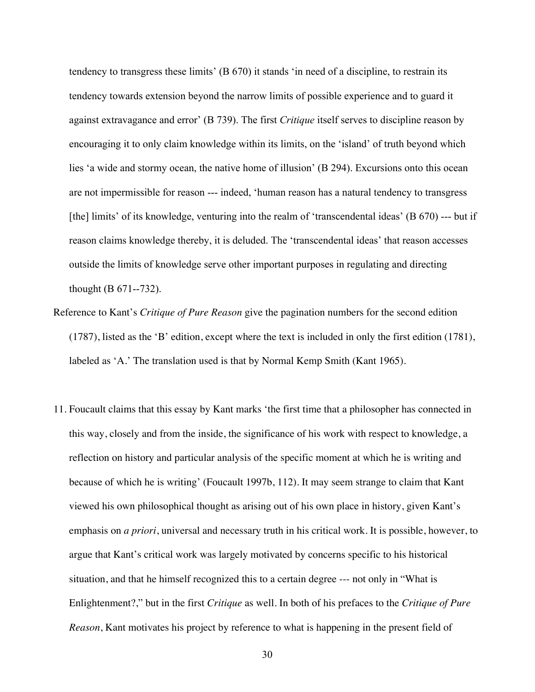tendency to transgress these limits' (B 670) it stands 'in need of a discipline, to restrain its tendency towards extension beyond the narrow limits of possible experience and to guard it against extravagance and error' (B 739). The first *Critique* itself serves to discipline reason by encouraging it to only claim knowledge within its limits, on the 'island' of truth beyond which lies 'a wide and stormy ocean, the native home of illusion' (B 294). Excursions onto this ocean are not impermissible for reason --- indeed, 'human reason has a natural tendency to transgress [the] limits' of its knowledge, venturing into the realm of 'transcendental ideas' (B 670) --- but if reason claims knowledge thereby, it is deluded. The 'transcendental ideas' that reason accesses outside the limits of knowledge serve other important purposes in regulating and directing thought (B 671--732).

- Reference to Kant's *Critique of Pure Reason* give the pagination numbers for the second edition (1787), listed as the 'B' edition, except where the text is included in only the first edition (1781), labeled as 'A.' The translation used is that by Normal Kemp Smith (Kant 1965).
- 11. Foucault claims that this essay by Kant marks 'the first time that a philosopher has connected in this way, closely and from the inside, the significance of his work with respect to knowledge, a reflection on history and particular analysis of the specific moment at which he is writing and because of which he is writing' (Foucault 1997b, 112). It may seem strange to claim that Kant viewed his own philosophical thought as arising out of his own place in history, given Kant's emphasis on *a priori*, universal and necessary truth in his critical work. It is possible, however, to argue that Kant's critical work was largely motivated by concerns specific to his historical situation, and that he himself recognized this to a certain degree --- not only in "What is Enlightenment?," but in the first *Critique* as well. In both of his prefaces to the *Critique of Pure Reason*, Kant motivates his project by reference to what is happening in the present field of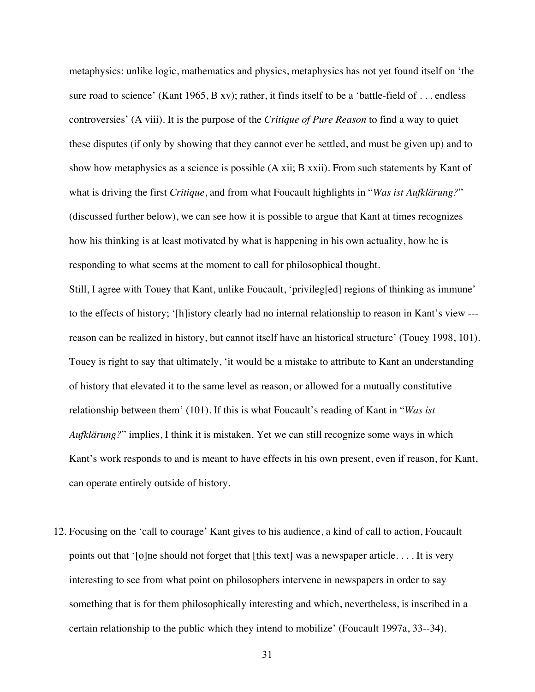metaphysics: unlike logic, mathematics and physics, metaphysics has not yet found itself on 'the sure road to science' (Kant 1965, B xv); rather, it finds itself to be a 'battle-field of ... endless controversies' (A viii). It is the purpose of the *Critique of Pure Reason* to find a way to quiet these disputes (if only by showing that they cannot ever be settled, and must be given up) and to show how metaphysics as a science is possible (A xii; B xxii). From such statements by Kant of what is driving the first *Critique*, and from what Foucault highlights in "*Was ist Aufklärung?*" (discussed further below), we can see how it is possible to argue that Kant at times recognizes how his thinking is at least motivated by what is happening in his own actuality, how he is responding to what seems at the moment to call for philosophical thought.

Still, I agree with Touey that Kant, unlike Foucault, 'privileg[ed] regions of thinking as immune' to the effects of history; '[h]istory clearly had no internal relationship to reason in Kant's view -- reason can be realized in history, but cannot itself have an historical structure' (Touey 1998, 101). Touey is right to say that ultimately, 'it would be a mistake to attribute to Kant an understanding of history that elevated it to the same level as reason, or allowed for a mutually constitutive relationship between them' (101). If this is what Foucault's reading of Kant in "*Was ist Aufklärung?*" implies, I think it is mistaken. Yet we can still recognize some ways in which Kant's work responds to and is meant to have effects in his own present, even if reason, for Kant, can operate entirely outside of history.

12. Focusing on the 'call to courage' Kant gives to his audience, a kind of call to action, Foucault points out that '[o]ne should not forget that [this text] was a newspaper article. . . . It is very interesting to see from what point on philosophers intervene in newspapers in order to say something that is for them philosophically interesting and which, nevertheless, is inscribed in a certain relationship to the public which they intend to mobilize' (Foucault 1997a, 33--34).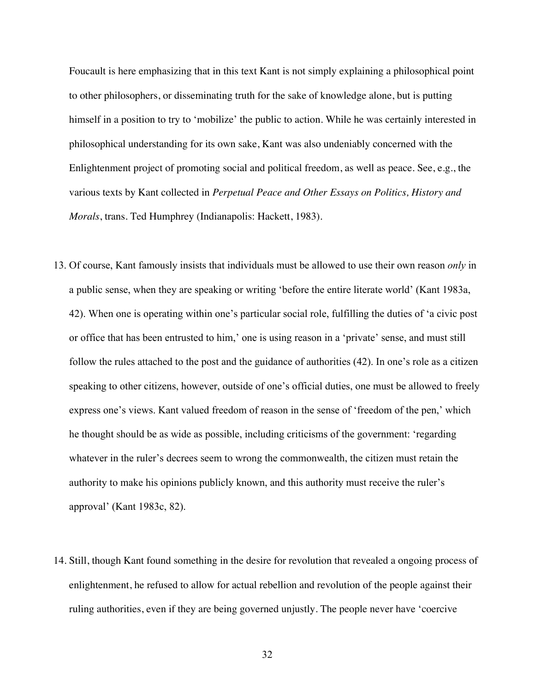Foucault is here emphasizing that in this text Kant is not simply explaining a philosophical point to other philosophers, or disseminating truth for the sake of knowledge alone, but is putting himself in a position to try to 'mobilize' the public to action. While he was certainly interested in philosophical understanding for its own sake, Kant was also undeniably concerned with the Enlightenment project of promoting social and political freedom, as well as peace. See, e.g., the various texts by Kant collected in *Perpetual Peace and Other Essays on Politics, History and Morals*, trans. Ted Humphrey (Indianapolis: Hackett, 1983).

- 13. Of course, Kant famously insists that individuals must be allowed to use their own reason *only* in a public sense, when they are speaking or writing 'before the entire literate world' (Kant 1983a, 42). When one is operating within one's particular social role, fulfilling the duties of 'a civic post or office that has been entrusted to him,' one is using reason in a 'private' sense, and must still follow the rules attached to the post and the guidance of authorities (42). In one's role as a citizen speaking to other citizens, however, outside of one's official duties, one must be allowed to freely express one's views. Kant valued freedom of reason in the sense of 'freedom of the pen,' which he thought should be as wide as possible, including criticisms of the government: 'regarding whatever in the ruler's decrees seem to wrong the commonwealth, the citizen must retain the authority to make his opinions publicly known, and this authority must receive the ruler's approval' (Kant 1983c, 82).
- 14. Still, though Kant found something in the desire for revolution that revealed a ongoing process of enlightenment, he refused to allow for actual rebellion and revolution of the people against their ruling authorities, even if they are being governed unjustly. The people never have 'coercive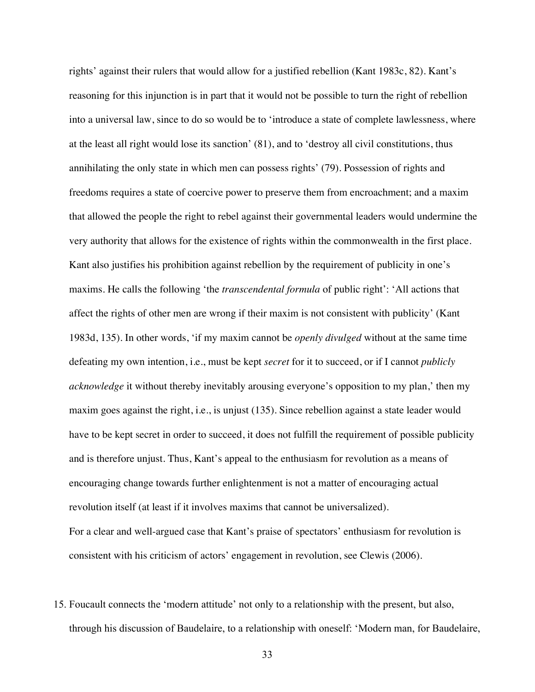rights' against their rulers that would allow for a justified rebellion (Kant 1983c, 82). Kant's reasoning for this injunction is in part that it would not be possible to turn the right of rebellion into a universal law, since to do so would be to 'introduce a state of complete lawlessness, where at the least all right would lose its sanction' (81), and to 'destroy all civil constitutions, thus annihilating the only state in which men can possess rights' (79). Possession of rights and freedoms requires a state of coercive power to preserve them from encroachment; and a maxim that allowed the people the right to rebel against their governmental leaders would undermine the very authority that allows for the existence of rights within the commonwealth in the first place. Kant also justifies his prohibition against rebellion by the requirement of publicity in one's maxims. He calls the following 'the *transcendental formula* of public right': 'All actions that affect the rights of other men are wrong if their maxim is not consistent with publicity' (Kant 1983d, 135). In other words, 'if my maxim cannot be *openly divulged* without at the same time defeating my own intention, i.e., must be kept *secret* for it to succeed, or if I cannot *publicly acknowledge* it without thereby inevitably arousing everyone's opposition to my plan,' then my maxim goes against the right, i.e., is unjust (135). Since rebellion against a state leader would have to be kept secret in order to succeed, it does not fulfill the requirement of possible publicity and is therefore unjust. Thus, Kant's appeal to the enthusiasm for revolution as a means of encouraging change towards further enlightenment is not a matter of encouraging actual revolution itself (at least if it involves maxims that cannot be universalized). For a clear and well-argued case that Kant's praise of spectators' enthusiasm for revolution is consistent with his criticism of actors' engagement in revolution, see Clewis (2006).

15. Foucault connects the 'modern attitude' not only to a relationship with the present, but also, through his discussion of Baudelaire, to a relationship with oneself: 'Modern man, for Baudelaire,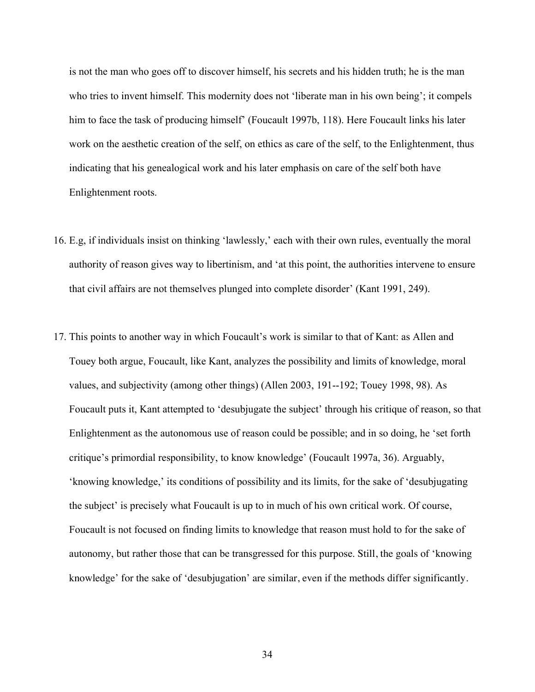is not the man who goes off to discover himself, his secrets and his hidden truth; he is the man who tries to invent himself. This modernity does not 'liberate man in his own being'; it compels him to face the task of producing himself' (Foucault 1997b, 118). Here Foucault links his later work on the aesthetic creation of the self, on ethics as care of the self, to the Enlightenment, thus indicating that his genealogical work and his later emphasis on care of the self both have Enlightenment roots.

- 16. E.g, if individuals insist on thinking 'lawlessly,' each with their own rules, eventually the moral authority of reason gives way to libertinism, and 'at this point, the authorities intervene to ensure that civil affairs are not themselves plunged into complete disorder' (Kant 1991, 249).
- 17. This points to another way in which Foucault's work is similar to that of Kant: as Allen and Touey both argue, Foucault, like Kant, analyzes the possibility and limits of knowledge, moral values, and subjectivity (among other things) (Allen 2003, 191--192; Touey 1998, 98). As Foucault puts it, Kant attempted to 'desubjugate the subject' through his critique of reason, so that Enlightenment as the autonomous use of reason could be possible; and in so doing, he 'set forth critique's primordial responsibility, to know knowledge' (Foucault 1997a, 36). Arguably, 'knowing knowledge,' its conditions of possibility and its limits, for the sake of 'desubjugating the subject' is precisely what Foucault is up to in much of his own critical work. Of course, Foucault is not focused on finding limits to knowledge that reason must hold to for the sake of autonomy, but rather those that can be transgressed for this purpose. Still, the goals of 'knowing knowledge' for the sake of 'desubjugation' are similar, even if the methods differ significantly.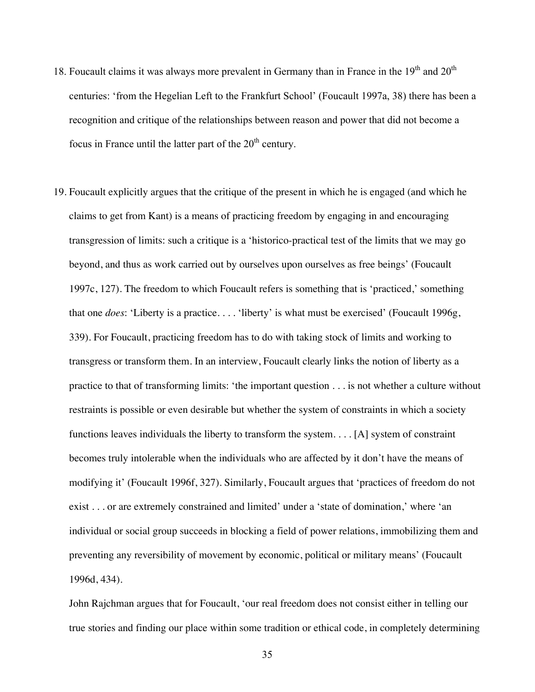- 18. Foucault claims it was always more prevalent in Germany than in France in the  $19<sup>th</sup>$  and  $20<sup>th</sup>$ centuries: 'from the Hegelian Left to the Frankfurt School' (Foucault 1997a, 38) there has been a recognition and critique of the relationships between reason and power that did not become a focus in France until the latter part of the  $20<sup>th</sup>$  century.
- 19. Foucault explicitly argues that the critique of the present in which he is engaged (and which he claims to get from Kant) is a means of practicing freedom by engaging in and encouraging transgression of limits: such a critique is a 'historico-practical test of the limits that we may go beyond, and thus as work carried out by ourselves upon ourselves as free beings' (Foucault 1997c, 127). The freedom to which Foucault refers is something that is 'practiced,' something that one *does*: 'Liberty is a practice. . . . 'liberty' is what must be exercised' (Foucault 1996g, 339). For Foucault, practicing freedom has to do with taking stock of limits and working to transgress or transform them. In an interview, Foucault clearly links the notion of liberty as a practice to that of transforming limits: 'the important question . . . is not whether a culture without restraints is possible or even desirable but whether the system of constraints in which a society functions leaves individuals the liberty to transform the system. . . . [A] system of constraint becomes truly intolerable when the individuals who are affected by it don't have the means of modifying it' (Foucault 1996f, 327). Similarly, Foucault argues that 'practices of freedom do not exist . . . or are extremely constrained and limited' under a 'state of domination,' where 'an individual or social group succeeds in blocking a field of power relations, immobilizing them and preventing any reversibility of movement by economic, political or military means' (Foucault 1996d, 434).

John Rajchman argues that for Foucault, 'our real freedom does not consist either in telling our true stories and finding our place within some tradition or ethical code, in completely determining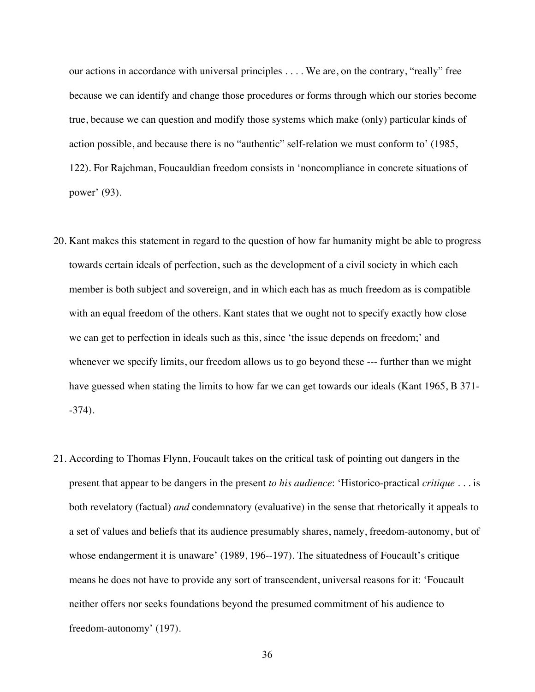our actions in accordance with universal principles . . . . We are, on the contrary, "really" free because we can identify and change those procedures or forms through which our stories become true, because we can question and modify those systems which make (only) particular kinds of action possible, and because there is no "authentic" self-relation we must conform to' (1985, 122). For Rajchman, Foucauldian freedom consists in 'noncompliance in concrete situations of power' (93).

- 20. Kant makes this statement in regard to the question of how far humanity might be able to progress towards certain ideals of perfection, such as the development of a civil society in which each member is both subject and sovereign, and in which each has as much freedom as is compatible with an equal freedom of the others. Kant states that we ought not to specify exactly how close we can get to perfection in ideals such as this, since 'the issue depends on freedom;' and whenever we specify limits, our freedom allows us to go beyond these --- further than we might have guessed when stating the limits to how far we can get towards our ideals (Kant 1965, B 371- -374).
- 21. According to Thomas Flynn, Foucault takes on the critical task of pointing out dangers in the present that appear to be dangers in the present *to his audience*: 'Historico-practical *critique* . . . is both revelatory (factual) *and* condemnatory (evaluative) in the sense that rhetorically it appeals to a set of values and beliefs that its audience presumably shares, namely, freedom-autonomy, but of whose endangerment it is unaware' (1989, 196--197). The situatedness of Foucault's critique means he does not have to provide any sort of transcendent, universal reasons for it: 'Foucault neither offers nor seeks foundations beyond the presumed commitment of his audience to freedom-autonomy' (197).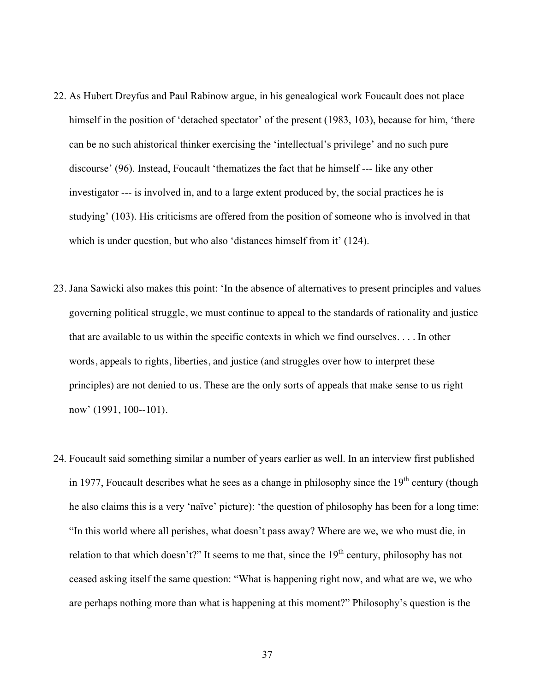- 22. As Hubert Dreyfus and Paul Rabinow argue, in his genealogical work Foucault does not place himself in the position of 'detached spectator' of the present (1983, 103), because for him, 'there can be no such ahistorical thinker exercising the 'intellectual's privilege' and no such pure discourse' (96). Instead, Foucault 'thematizes the fact that he himself --- like any other investigator --- is involved in, and to a large extent produced by, the social practices he is studying' (103). His criticisms are offered from the position of someone who is involved in that which is under question, but who also 'distances himself from it' (124).
- 23. Jana Sawicki also makes this point: 'In the absence of alternatives to present principles and values governing political struggle, we must continue to appeal to the standards of rationality and justice that are available to us within the specific contexts in which we find ourselves. . . . In other words, appeals to rights, liberties, and justice (and struggles over how to interpret these principles) are not denied to us. These are the only sorts of appeals that make sense to us right now' (1991, 100--101).
- 24. Foucault said something similar a number of years earlier as well. In an interview first published in 1977, Foucault describes what he sees as a change in philosophy since the  $19<sup>th</sup>$  century (though he also claims this is a very 'naïve' picture): 'the question of philosophy has been for a long time: "In this world where all perishes, what doesn't pass away? Where are we, we who must die, in relation to that which doesn't?" It seems to me that, since the  $19<sup>th</sup>$  century, philosophy has not ceased asking itself the same question: "What is happening right now, and what are we, we who are perhaps nothing more than what is happening at this moment?" Philosophy's question is the